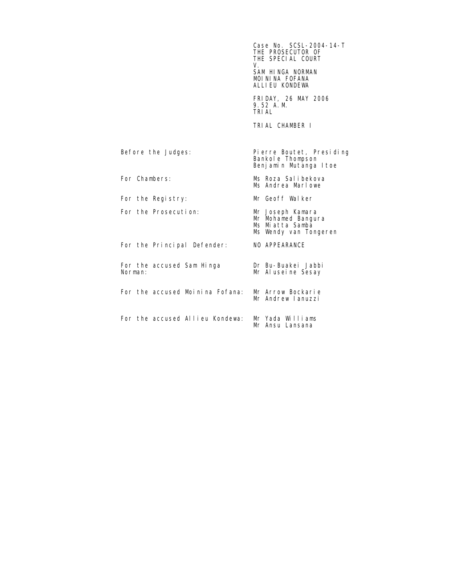THE PROSECUTOR OF THE SPECIAL COURT AND THE SPECIAL COURT V. SAM HINGA NORMAN MOI NI NA FOFANA ALLIEU KONDEWA FRIDAY, 26 MAY 2006 9.52 A.M.<br>TRI AL TRIAL TRIAL CHAMBER I Before the Judges: Pierre Boutet, Presiding Bankole Thompson Benjamin Mutanga Itoe For Chambers: Ms Roza Salibekova Ms Andrea Marlowe For the Registry: Mr Geoff Walker For the Prosecution: Mr Mohamed Bangura Ms Miatta Samba Ms Wendy van Tongeren For the Principal Defender: NO APPEARANCE For the accused Sam Hinga Dr Bu-Buakei Jabbi<br>Norman: Mr Aluseine Sesav Mr Aluseine Sesay For the accused Moinina Fofana: Mr Arrow Bockarie Mr Andrew Ianuzzi For the accused Allieu Kondewa: Mr Yada Williams Mr Ansu Lansana

Case No. SCSL-2004-14-T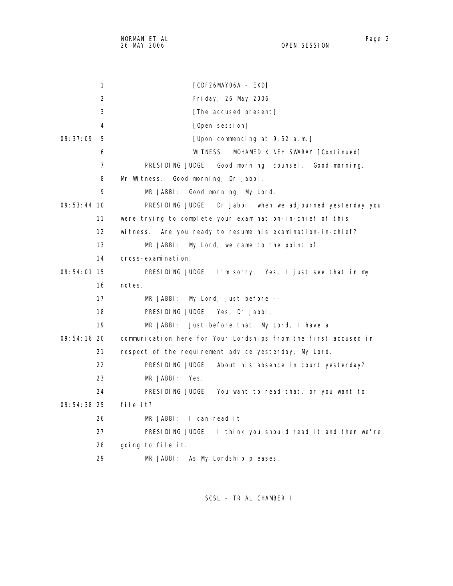1 [CDF26MAY06A - EKD]

| 2             | Friday, 26 May 2006                                             |
|---------------|-----------------------------------------------------------------|
| 3             | [The accused present]                                           |
| 4             | [Open session]                                                  |
| 09:37:09<br>5 | [Upon commencing at 9.52 a.m.]                                  |
| 6             | WI TNESS:<br>MOHAMED KINEH SWARAY [Continued]                   |
| 7             | PRESIDING JUDGE: Good morning, counsel. Good morning,           |
| 8             | Mr Witness. Good morning, Dr Jabbi.                             |
| 9             | MR JABBI:<br>Good morning, My Lord.                             |
| $09:53:44$ 10 | PRESIDING JUDGE: Dr Jabbi, when we adjourned yesterday you      |
| 11            | were trying to complete your examination-in-chief of this       |
| 12            | witness. Are you ready to resume his examination-in-chief?      |
| 13            | My Lord, we came to the point of<br>MR JABBI:                   |
| 14            | cross-examination.                                              |
| 09:54:01 15   | PRESIDING JUDGE: I'm sorry. Yes, I just see that in my          |
| 16            | notes.                                                          |
| 17            | My Lord, just before --<br>MR JABBI:                            |
| 18            | PRESIDING JUDGE: Yes. Dr Jabbi.                                 |
| 19            | MR JABBI: Just before that, My Lord, I have a                   |
| 09:54:16 20   | communication here for Your Lordships from the first accused in |
| 21            | respect of the requirement advice yesterday, My Lord.           |
| 22            | PRESIDING JUDGE:<br>About his absence in court yesterday?       |
| 23            | MR JABBI:<br>Yes.                                               |
| 24            | PRESIDING JUDGE: You want to read that, or you want to          |
| $09:54:38$ 25 | file it?                                                        |
| 26            | $MR$ JABBI: I can read it.                                      |
| 27            | PRESIDING JUDGE: I think you should read it and then we're      |
| 28            | going to file it.                                               |
|               |                                                                 |

29 MR JABBI: As My Lordship pleases.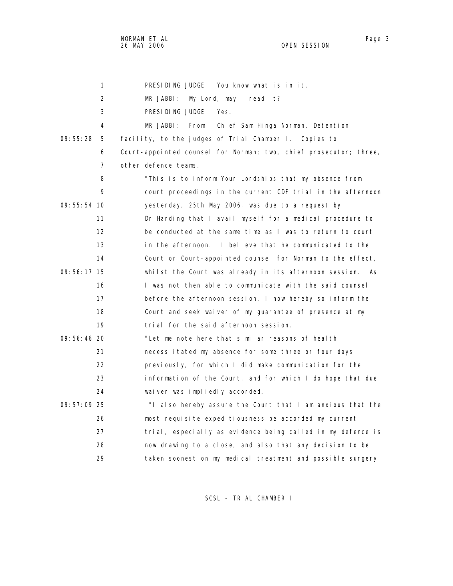1 PRESIDING JUDGE: You know what is in it. 2 MR JABBI: My Lord, may I read it? 3 PRESIDING JUDGE: Yes. 4 MR JABBI: From: Chief Sam Hinga Norman, Detention 09:55:28 5 facility, to the judges of Trial Chamber I. Copies to 6 Court-appointed counsel for Norman; two, chief prosecutor; three, 7 other defence teams. 8 "This is to inform Your Lordships that my absence from 9 court proceedings in the current CDF trial in the afternoon 09:55:54 10 yesterday, 25th May 2006, was due to a request by 11 **Dr Harding that I avail myself for a medical procedure to**  12 be conducted at the same time as I was to return to court 13 in the afternoon. I believe that he communicated to the 14 Court or Court-appointed counsel for Norman to the effect, 09:56:17 15 whilst the Court was already in its afternoon session. As 16 I was not then able to communicate with the said counsel 17 before the afternoon session, I now hereby so inform the 18 Court and seek waiver of my guarantee of presence at my 19 trial for the said afternoon session. 09:56:46 20 "Let me note here that similar reasons of health 21 necess itated my absence for some three or four days 22 previously, for which I did make communication for the 23 information of the Court, and for which I do hope that due 24 waiver was impliedly accorded. 09:57:09 25 "I also hereby assure the Court that I am anxious that the 26 most requisite expeditiousness be accorded my current 27 trial, especially as evidence being called in my defence is 28 now drawing to a close, and also that any decision to be

SCSL - TRIAL CHAMBER I

29 taken soonest on my medical treatment and possible surgery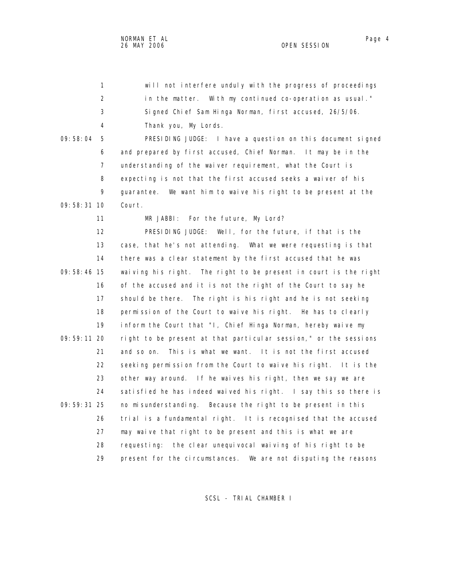NORMAN ET AL Page 4 26 MAY 2006 OPEN SESSION

| 1             | will not interfere unduly with the progress of proceedings         |
|---------------|--------------------------------------------------------------------|
| 2             | in the matter. With my continued co-operation as usual."           |
| 3             | Signed Chief Sam Hinga Norman, first accused, 26/5/06.             |
| 4             | Thank you, My Lords.                                               |
| 09:58:04<br>5 | PRESIDING JUDGE: I have a question on this document signed         |
| 6             | and prepared by first accused, Chief Norman. It may be in the      |
| 7             | understanding of the waiver requirement, what the Court is         |
| 8             | expecting is not that the first accused seeks a waiver of his      |
| 9             | guarantee. We want him to waive his right to be present at the     |
| 09:58:31 10   | Court.                                                             |
| 11            | MR JABBI: For the future, My Lord?                                 |
| 12            | PRESIDING JUDGE: Well, for the future, if that is the              |
| 13            | case, that he's not attending. What we were requesting is that     |
| 14            | there was a clear statement by the first accused that he was       |
| $09:58:46$ 15 | waiving his right. The right to be present in court is the right   |
| 16            | of the accused and it is not the right of the Court to say he      |
| 17            | should be there. The right is his right and he is not seeking      |
| 18            | permission of the Court to waive his right. He has to clearly      |
| 19            | inform the Court that "I, Chief Hinga Norman, hereby waive my      |
| 09:59:11 20   | right to be present at that particular session," or the sessions   |
| 21            | and so on.<br>This is what we want. It is not the first accused    |
| 22            | seeking permission from the Court to waive his right. It is the    |
| 23            | other way around. If he waives his right, then we say we are       |
| 24            | satisfied he has indeed waived his right. I say this so there is   |
| 09: 59: 31 25 | no misunderstanding. Because the right to be present in this       |
| 26            | trial is a fundamental right. It is recognised that the accused    |
| 27            | may waive that right to be present and this is what we are         |
| 28            | the clear unequivocal waiving of his right to be<br>requesting:    |
| 29            | present for the circumstances.<br>We are not disputing the reasons |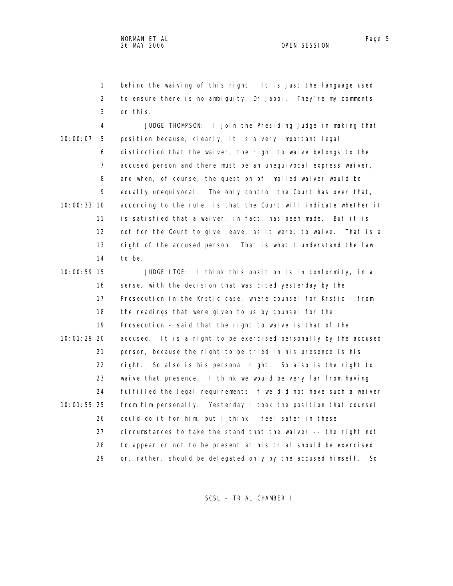1 behind the waiving of this right. It is just the language used 2 to ensure there is no ambiguity, Dr Jabbi. They're my comments 3 on this.

 4 JUDGE THOMPSON: I join the Presiding Judge in making that 10:00:07 5 position because, clearly, it is a very important legal 6 distinction that the waiver, the right to waive belongs to the 7 accused person and there must be an unequivocal express waiver, 8 and when, of course, the question of implied waiver would be 9 equally unequivocal. The only control the Court has over that, 10:00:33 10 according to the rule, is that the Court will indicate whether it 11 is satisfied that a waiver, in fact, has been made. But it is 12 not for the Court to give leave, as it were, to waive. That is a 13 right of the accused person. That is what I understand the law 14 to be.

 10:00:59 15 JUDGE ITOE: I think this position is in conformity, in a 16 sense, with the decision that was cited yesterday by the 17 Prosecution in the Krstic case, where counsel for Krstic - from 18 the readings that were given to us by counsel for the 19 Prosecution - said that the right to waive is that of the 10:01:29 20 accused. It is a right to be exercised personally by the accused 21 person, because the right to be tried in his presence is his 22 right. So also is his personal right. So also is the right to 23 waive that presence. I think we would be very far from having 24 fulfilled the legal requirements if we did not have such a waiver 10:01:55 25 from him personally. Yesterday I took the position that counsel 26 could do it for him, but I think I feel safer in these 27 circumstances to take the stand that the waiver -- the right not 28 to appear or not to be present at his trial should be exercised 29 or, rather, should be delegated only by the accused himself. So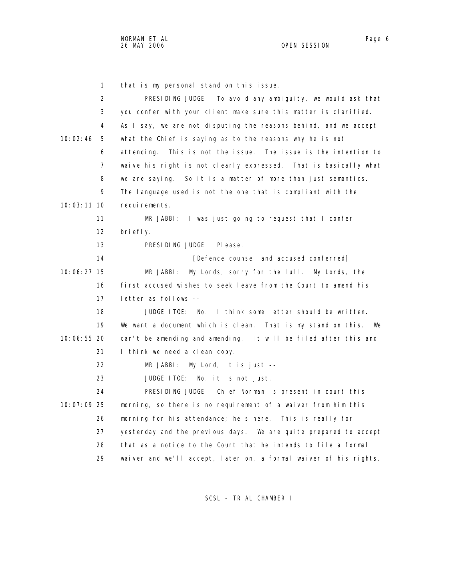NORMAN ET AL Page 6

OPEN SESSION

 1 that is my personal stand on this issue. 2 PRESIDING JUDGE: To avoid any ambiguity, we would ask that 3 you confer with your client make sure this matter is clarified. 4 As I say, we are not disputing the reasons behind, and we accept 10:02:46 5 what the Chief is saying as to the reasons why he is not 6 attending. This is not the issue. The issue is the intention to 7 waive his right is not clearly expressed. That is basically what 8 we are saying. So it is a matter of more than just semantics. 9 The language used is not the one that is compliant with the 10:03:11 10 requirements. 11 MR JABBI: I was just going to request that I confer 12 briefly. 13 PRESIDING JUDGE: Please. 14 **Internal Conferred** [Defence counsel and accused conferred] 10:06:27 15 MR JABBI: My Lords, sorry for the lull. My Lords, the 16 first accused wishes to seek leave from the Court to amend his 17 letter as follows -- 18 JUDGE ITOE: No. I think some letter should be written. 19 We want a document which is clean. That is my stand on this. We 10:06:55 20 can't be amending and amending. It will be filed after this and 21 I think we need a clean copy. 22 MR JABBI: My Lord, it is just -- 23 JUDGE ITOE: No, it is not just. 24 PRESIDING JUDGE: Chief Norman is present in court this 10:07:09 25 morning, so there is no requirement of a waiver from him this 26 morning for his attendance; he's here. This is really for 27 yesterday and the previous days. We are quite prepared to accept 28 that as a notice to the Court that he intends to file a formal 29 waiver and we'll accept, later on, a formal waiver of his rights.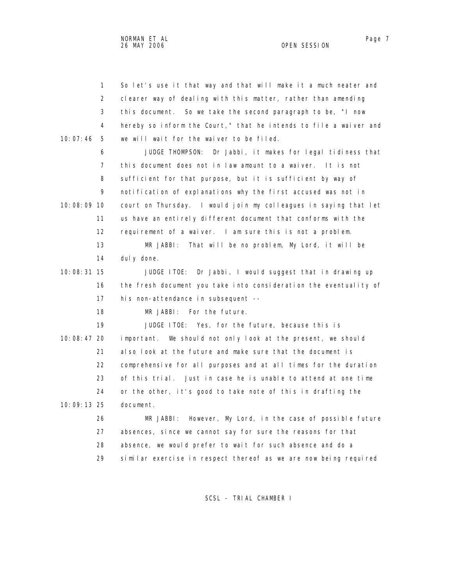|             | $\mathbf{1}$   | So let's use it that way and that will make it a much neater and  |
|-------------|----------------|-------------------------------------------------------------------|
|             | 2              | clearer way of dealing with this matter, rather than amending     |
|             | 3              | this document. So we take the second paragraph to be, "I now      |
|             | 4              | hereby so inform the Court," that he intends to file a waiver and |
| 10:07:46    | 5              | we will wait for the waiver to be filed.                          |
|             | 6              | JUDGE THOMPSON:<br>Dr Jabbi, it makes for legal tidiness that     |
|             | $\overline{7}$ | this document does not in law amount to a waiver. It is not       |
|             | 8              | sufficient for that purpose, but it is sufficient by way of       |
|             | 9              | notification of explanations why the first accused was not in     |
| 10:08:09 10 |                | court on Thursday. I would join my colleagues in saying that let  |
|             | 11             | us have an entirely different document that conforms with the     |
|             | 12             | requirement of a waiver. I am sure this is not a problem.         |
|             | 13             | That will be no problem, My Lord, it will be<br>MR JABBI:         |
|             | 14             | dul y done.                                                       |
| 10:08:31 15 |                | JUDGE ITOE: Dr Jabbi, I would suggest that in drawing up          |
|             | 16             | the fresh document you take into consideration the eventuality of |
|             | 17             | his non-attendance in subsequent --                               |
|             | 18             | MR JABBI: For the future.                                         |
|             | 19             | JUDGE ITOE: Yes, for the future, because this is                  |
| 10:08:47 20 |                | important. We should not only look at the present, we should      |
|             | 21             | also look at the future and make sure that the document is        |
|             | 22             | comprehensive for all purposes and at all times for the duration  |
|             | 23             | of this trial. Just in case he is unable to attend at one time    |
|             | 24             | or the other, it's good to take note of this in drafting the      |
| 10:09:13 25 |                | document.                                                         |
|             | 26             | However, My Lord, in the case of possible future<br>MR JABBI:     |
|             | 27             | absences, since we cannot say for sure the reasons for that       |
|             | 28             | absence, we would prefer to wait for such absence and do a        |
|             | 29             | similar exercise in respect thereof as we are now being required  |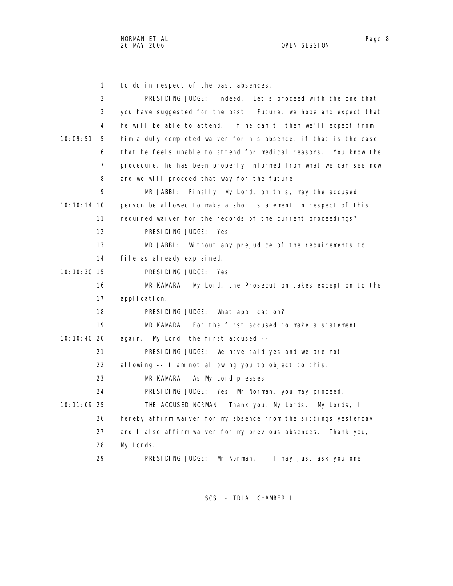1 to do in respect of the past absences. 2 PRESIDING JUDGE: Indeed. Let's proceed with the one that 3 you have suggested for the past. Future, we hope and expect that 4 he will be able to attend. If he can't, then we'll expect from 10:09:51 5 him a duly completed waiver for his absence, if that is the case 6 that he feels unable to attend for medical reasons. You know the 7 procedure, he has been properly informed from what we can see now 8 and we will proceed that way for the future. 9 MR JABBI: Finally, My Lord, on this, may the accused 10:10:14 10 person be allowed to make a short statement in respect of this 11 required waiver for the records of the current proceedings? 12 PRESIDING JUDGE: Yes. 13 MR JABBI: Without any prejudice of the requirements to 14 file as already explained. 10:10:30 15 PRESIDING JUDGE: Yes. 16 MR KAMARA: My Lord, the Prosecution takes exception to the 17 application. 18 PRESIDING JUDGE: What application? 19 MR KAMARA: For the first accused to make a statement 10:10:40 20 again. My Lord, the first accused -- 21 PRESIDING JUDGE: We have said yes and we are not 22 allowing -- I am not allowing you to object to this. 23 MR KAMARA: As My Lord pleases. 24 PRESIDING JUDGE: Yes, Mr Norman, you may proceed. 10:11:09 25 THE ACCUSED NORMAN: Thank you, My Lords. My Lords, I 26 hereby affirm waiver for my absence from the sittings yesterday 27 and I also affirm waiver for my previous absences. Thank you, 28 My Lords. 29 PRESIDING JUDGE: Mr Norman, if I may just ask you one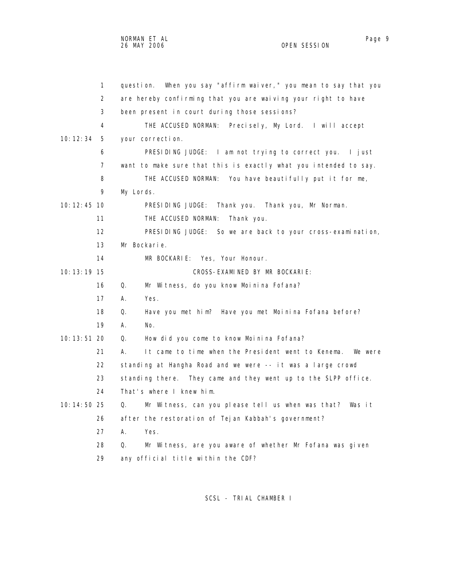|               | $\mathbf{1}$   | When you say "affirm waiver," you mean to say that you<br>question. |
|---------------|----------------|---------------------------------------------------------------------|
|               | 2              | are hereby confirming that you are waiving your right to have       |
|               | 3              | been present in court during those sessions?                        |
|               | 4              | THE ACCUSED NORMAN:<br>Precisely, My Lord. I will accept            |
| 10: 12: 34    | 5              | your correction.                                                    |
|               | 6              | PRESIDING JUDGE: I am not trying to correct you. I just             |
|               | $\overline{7}$ | want to make sure that this is exactly what you intended to say.    |
|               | 8              | THE ACCUSED NORMAN: You have beautifully put it for me,             |
|               | 9              | My Lords.                                                           |
| $10:12:45$ 10 |                | PRESIDING JUDGE: Thank you. Thank you, Mr Norman.                   |
|               | 11             | THE ACCUSED NORMAN:<br>Thank you.                                   |
|               | 12             | PRESIDING JUDGE: So we are back to your cross-examination,          |
|               | 13             | Mr Bockarie.                                                        |
|               | 14             | MR BOCKARIE: Yes, Your Honour.                                      |
| 10: 13: 19 15 |                | CROSS-EXAMINED BY MR BOCKARIE:                                      |
|               | 16             | Q.<br>Mr Witness, do you know Moinina Fofana?                       |
|               | 17             | А.<br>Yes.                                                          |
|               | 18             | Q.<br>Have you met him? Have you met Moinina Fofana before?         |
|               | 19             | А.<br>No.                                                           |
| $10:13:51$ 20 |                | Q.<br>How did you come to know Moinina Fofana?                      |
|               | 21             | It came to time when the President went to Kenema.<br>А.<br>We were |
|               | 22             | standing at Hangha Road and we were -- it was a large crowd         |
|               | 23             | standing there. They came and they went up to the SLPP office.      |
|               | 24             | That's where I knew him.                                            |
| 10:14:50 25   |                | Mr Witness, can you please tell us when was that? Was it<br>Q.      |
|               | 26             | after the restoration of Tejan Kabbah's government?                 |
|               | 27             | А.<br>Yes.                                                          |
|               | 28             | Mr Witness, are you aware of whether Mr Fofana was given<br>Q.      |
|               | 29             | any official title within the CDF?                                  |
|               |                |                                                                     |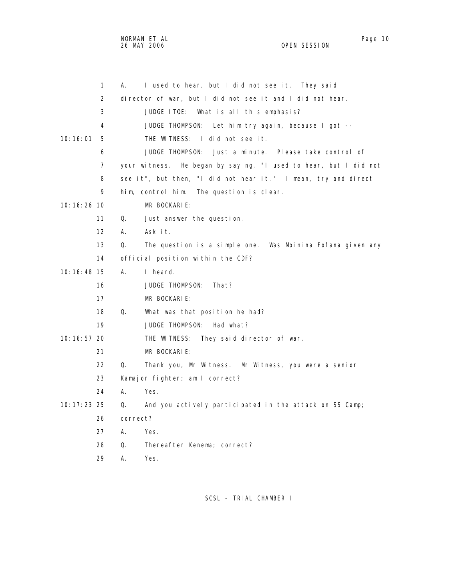NORMAN ET AL Page 10 and the set of the set of the set of the set of the set of the set of the set of the set o 26 MAY 2006 OPEN SESSION

|               | 1                 | I used to hear, but I did not see it. They said<br>А.            |
|---------------|-------------------|------------------------------------------------------------------|
|               | 2                 | director of war, but I did not see it and I did not hear.        |
|               | 3                 | JUDGE ITOE: What is all this emphasis?                           |
|               | 4                 | JUDGE THOMPSON: Let him try again, because I got --              |
| 10:16:01      | 5                 | THE WITNESS: I did not see it.                                   |
|               | 6                 | JUDGE THOMPSON:<br>Just a minute. Please take control of         |
|               | $\overline{7}$    | your witness. He began by saying, "I used to hear, but I did not |
|               | 8                 | see it", but then, "I did not hear it." I mean, try and direct   |
|               | 9                 | him, control him. The question is clear.                         |
| 10:16:26:10   |                   | MR BOCKARIE:                                                     |
|               | 11                | Q.<br>Just answer the question.                                  |
|               | $12 \overline{ }$ | А.<br>Ask it.                                                    |
|               | 13                | The question is a simple one. Was Moinina Fofana given any<br>Q. |
|               | 14                | official position within the CDF?                                |
| 10:16:48 15   |                   | А.<br>I heard.                                                   |
|               | 16                | JUDGE THOMPSON:<br>That?                                         |
|               | 17                | MR BOCKARIE:                                                     |
|               | 18                | Q.<br>What was that position he had?                             |
|               | 19                | JUDGE THOMPSON:<br>Had what?                                     |
| 10:16:57 20   |                   | THE WITNESS: They said director of war.                          |
|               | 21                | MR BOCKARIE:                                                     |
|               | 22                | Q.<br>Thank you, Mr Witness. Mr Witness, you were a senior       |
|               | 23                | Kamajor fighter; am I correct?                                   |
|               | 24                | А.<br>Yes.                                                       |
| 10: 17: 23 25 |                   | And you actively participated in the attack on SS Camp;<br>Q.    |
|               | 26                | correct?                                                         |
|               | 27                | A.<br>Yes.                                                       |
|               | 28                | Q.<br>Thereafter Kenema; correct?                                |
|               | 29                | А.<br>Yes.                                                       |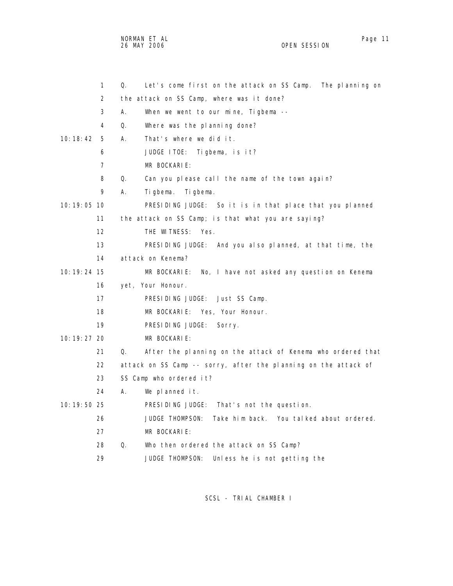NORMAN ET AL Page 11 and the set of the set of the set of the set of the set of the set of the set of the set o 26 MAY 2006 OPEN SESSION

|               | 1  | Q. | Let's come first on the attack on SS Camp.<br>The pl anning on  |
|---------------|----|----|-----------------------------------------------------------------|
|               | 2  |    | the attack on SS Camp, where was it done?                       |
|               | 3  | А. | When we went to our mine, Tigbema --                            |
|               | 4  | Q. | Where was the planning done?                                    |
| 10:18:42      | 5  | А. | That's where we did it.                                         |
|               | 6  |    | JUDGE ITOE: Tigbema, is it?                                     |
|               | 7  |    | MR BOCKARIE:                                                    |
|               | 8  | Q. | Can you please call the name of the town again?                 |
|               | 9  | А. | Tigbema.<br>Ti gbema.                                           |
| $10:19:05$ 10 |    |    | PRESIDING JUDGE: So it is in that place that you planned        |
|               | 11 |    | the attack on SS Camp; is that what you are saying?             |
|               | 12 |    | THE WITNESS:<br>Yes.                                            |
|               | 13 |    | PRESIDING JUDGE: And you also planned, at that time, the        |
|               | 14 |    | attack on Kenema?                                               |
| 10: 19: 24 15 |    |    | MR BOCKARIE:<br>No, I have not asked any question on Kenema     |
|               | 16 |    | yet, Your Honour.                                               |
|               | 17 |    | PRESIDING JUDGE: Just SS Camp.                                  |
|               | 18 |    | MR BOCKARIE: Yes, Your Honour.                                  |
|               | 19 |    | PRESIDING JUDGE:<br>Sorry.                                      |
| 10: 19: 27 20 |    |    | MR BOCKARIE:                                                    |
|               | 21 | Q. | After the planning on the attack of Kenema who ordered that     |
|               | 22 |    | attack on SS Camp -- sorry, after the planning on the attack of |
|               | 23 |    | SS Camp who ordered it?                                         |
|               | 24 | А. | We planned it.                                                  |
| 10: 19: 50 25 |    |    | PRESIDING JUDGE: That's not the question.                       |
|               | 26 |    | Take him back. You talked about ordered.<br>JUDGE THOMPSON:     |
|               | 27 |    | MR BOCKARIE:                                                    |
|               | 28 | Q. | Who then ordered the attack on SS Camp?                         |
|               | 29 |    | <b>JUDGE THOMPSON:</b><br>Unless he is not getting the          |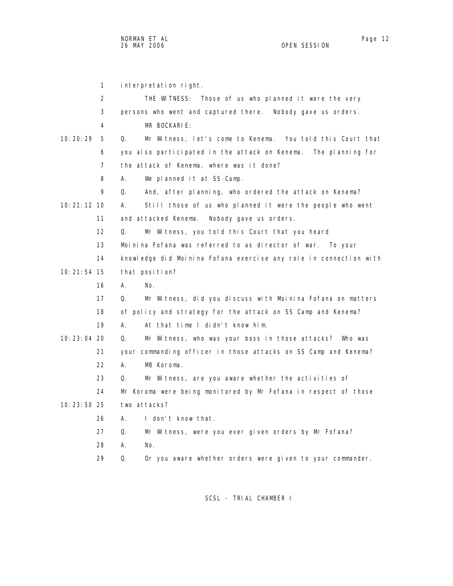1 interpretation right. 2 THE WITNESS: Those of us who planned it were the very 3 persons who went and captured there. Nobody gave us orders. 4 MR BOCKARIE: 10:20:29 5 Q. Mr Witness, let's come to Kenema. You told this Court that 6 you also participated in the attack on Kenema. The planning for 7 the attack of Kenema, where was it done? 8 A. We planned it at SS Camp. 9 Q. And, after planning, who ordered the attack on Kenema? 10:21:12 10 A. Still those of us who planned it were the people who went 11 and attacked Kenema. Nobody gave us orders. 12 Q. Mr Witness, you told this Court that you heard 13 Moinina Fofana was referred to as director of war. To your 14 knowledge did Moinina Fofana exercise any role in connection with 10:21:54 15 that position? 16 A. No. 17 Q. Mr Witness, did you discuss with Moinina Fofana on matters 18 of policy and strategy for the attack on SS Camp and Kenema? 19 A. At that time I didn't know him. 10:23:04 20 Q. Mr Witness, who was your boss in those attacks? Who was 21 your commanding officer in those attacks on SS Camp and Kenema? 22 A. MB Koroma. 23 Q. Mr Witness, are you aware whether the activities of 24 Mr Koroma were being monitored by Mr Fofana in respect of those 10:23:50 25 two attacks? 26 A. I don't know that. 27 Q. Mr Witness, were you ever given orders by Mr Fofana? 28 A. No. 29 Q. Or you aware whether orders were given to your commander,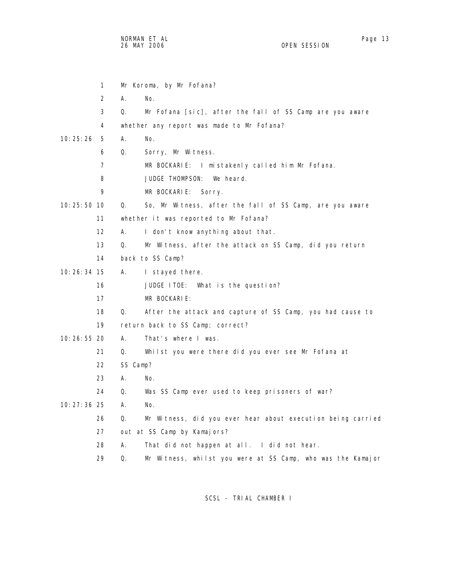|               | 1              |          | Mr Koroma, by Mr Fofana?                                    |
|---------------|----------------|----------|-------------------------------------------------------------|
|               | 2              | А.       | No.                                                         |
|               | 3              | Q.       | Mr Fofana [sic], after the fall of SS Camp are you aware    |
|               | 4              |          | whether any report was made to Mr Fofana?                   |
| 10:25:26      | 5              | А.       | No.                                                         |
|               | 6              | Q.       | Sorry, Mr Witness.                                          |
|               | $\overline{7}$ |          | MR BOCKARIE: I mistakenly called him Mr Fofana.             |
|               | 8              |          | We heard.<br><b>JUDGE THOMPSON:</b>                         |
|               | 9              |          | MR BOCKARIE: Sorry.                                         |
| 10: 25: 50 10 |                | Q.       | So, Mr Witness, after the fall of SS Camp, are you aware    |
|               | 11             |          | whether it was reported to Mr Fofana?                       |
|               | 12             | А.       | I don't know anything about that.                           |
|               | 13             | Q.       | Mr Witness, after the attack on SS Camp, did you return     |
|               | 14             |          | back to SS Camp?                                            |
| 10:26:34 15   |                | А.       | I stayed there.                                             |
|               | 16             |          | JUDGE ITOE: What is the question?                           |
|               | 17             |          | MR BOCKARIE:                                                |
|               | 18             | Q.       | After the attack and capture of SS Camp, you had cause to   |
|               | 19             |          | return back to SS Camp; correct?                            |
| 10:26:55 20   |                | А.       | That's where I was.                                         |
|               | 21             | Q.       | Whilst you were there did you ever see Mr Fofana at         |
|               | 22             | SS Camp? |                                                             |
|               | 23             | А.       | No.                                                         |
|               | 24             | Q.       | Was SS Camp ever used to keep prisoners of war?             |
| $10:27:36$ 25 |                | А.       | No.                                                         |
|               | 26             | Q.       | Mr Witness, did you ever hear about execution being carried |
|               | 27             |          | out at SS Camp by Kamajors?                                 |
|               | 28             | А.       | That did not happen at all. I did not hear.                 |
|               | 29             | Q.       | Mr Witness, whilst you were at SS Camp, who was the Kamajor |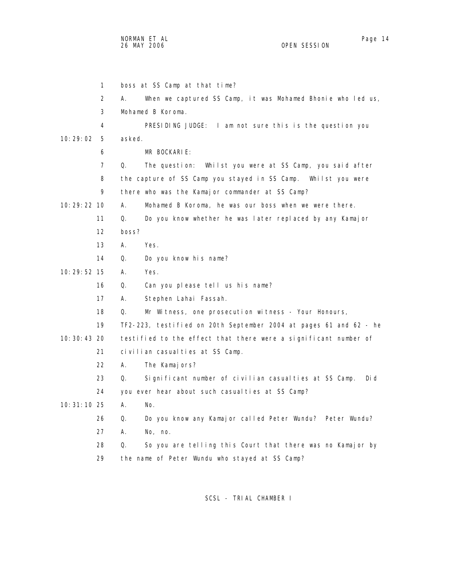1 boss at SS Camp at that time? 2 A. When we captured SS Camp, it was Mohamed Bhonie who led us, 3 Mohamed B Koroma. 4 PRESIDING JUDGE: I am not sure this is the question you 10:29:02 5 asked. 6 MR BOCKARIE: 7 Q. The question: Whilst you were at SS Camp, you said after 8 the capture of SS Camp you stayed in SS Camp. Whilst you were 9 there who was the Kamajor commander at SS Camp? 10:29:22 10 A. Mohamed B Koroma, he was our boss when we were there. 11 Q. Do you know whether he was later replaced by any Kamajor 12 boss? 13 A. Yes. 14 Q. Do you know his name? 10:29:52 15 A. Yes. 16 Q. Can you please tell us his name? 17 A. Stephen Lahai Fassah. 18 Q. Mr Witness, one prosecution witness - Your Honours, 19 TF2-223, testified on 20th September 2004 at pages 61 and 62 - he 10:30:43 20 testified to the effect that there were a significant number of 21 civilian casualties at SS Camp. 22 A. The Kamajors? 23 Q. Significant number of civilian casualties at SS Camp. Did 24 you ever hear about such casual ties at SS Camp? 10:31:10 25 A. No. 26 Q. Do you know any Kamajor called Peter Wundu? Peter Wundu? 27 A. No, no. 28 Q. So you are telling this Court that there was no Kamajor by 29 the name of Peter Wundu who stayed at SS Camp?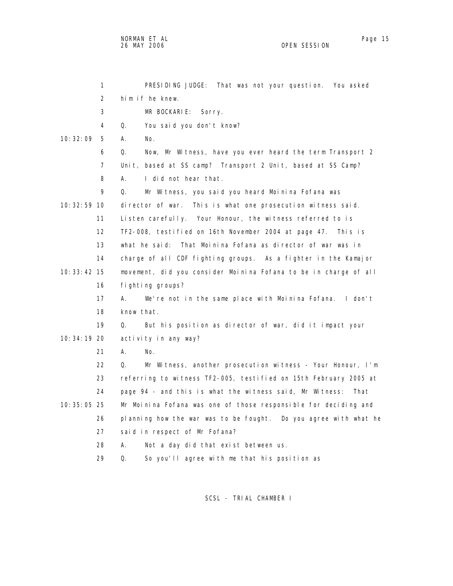NORMAN ET AL Page 15

OPEN SESSION

 1 PRESIDING JUDGE: That was not your question. You asked 2 him if he knew. 3 MR BOCKARIE: Sorry. 4 Q. You said you don't know? 10:32:09 5 A. No. 6 Q. Now, Mr Witness, have you ever heard the term Transport 2 7 Unit, based at SS camp? Transport 2 Unit, based at SS Camp? 8 A. I did not hear that. 9 Q. Mr Witness, you said you heard Moinina Fofana was 10:32:59 10 director of war. This is what one prosecution witness said. 11 Listen carefully. Your Honour, the witness referred to is 12 TF2-008, testified on 16th November 2004 at page 47. This is 13 what he said: That Moinina Fofana as director of war was in 14 charge of all CDF fighting groups. As a fighter in the Kamajor 10:33:42 15 movement, did you consider Moinina Fofana to be in charge of all 16 fighting groups? 17 A. We're not in the same place with Moinina Fofana. I don't 18 know that. 19 Q. But his position as director of war, did it impact your 10:34:19 20 activity in any way? 21 A. No. 22 Q. Mr Witness, another prosecution witness - Your Honour, I'm 23 referring to witness TF2-005, testified on 15th February 2005 at 24 page 94 - and this is what the witness said, Mr Witness: That 10:35:05 25 Mr Moinina Fofana was one of those responsible for deciding and 26 planning how the war was to be fought. Do you agree with what he 27 said in respect of Mr Fofana? 28 A. Not a day did that exist between us. 29 Q. So you'll agree with me that his position as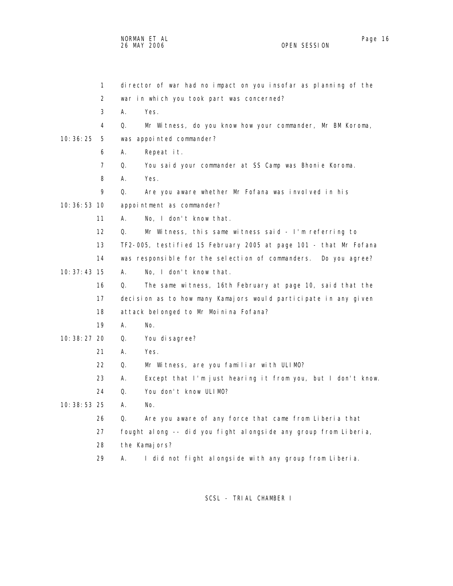|               | 1  |    | director of war had no impact on you insofar as planning of the  |
|---------------|----|----|------------------------------------------------------------------|
|               | 2  |    | war in which you took part was concerned?                        |
|               | 3  | А. | Yes.                                                             |
|               | 4  | Q. | Mr Witness, do you know how your commander, Mr BM Koroma,        |
| 10:36:25      | 5  |    | was appointed commander?                                         |
|               | 6  | А. | Repeat it.                                                       |
|               | 7  | Q. | You said your commander at SS Camp was Bhonie Koroma.            |
|               | 8  | А. | Yes.                                                             |
|               | 9  | Q. | Are you aware whether Mr Fofana was involved in his              |
| 10: 36: 53 10 |    |    | appointment as commander?                                        |
|               | 11 | А. | No, I don't know that.                                           |
|               | 12 | Q. | Mr Witness, this same witness said - I'm referring to            |
|               | 13 |    | TF2-005, testified 15 February 2005 at page 101 - that Mr Fofana |
|               | 14 |    | was responsible for the selection of commanders. Do you agree?   |
| $10:37:43$ 15 |    | А. | No, I don't know that.                                           |
|               | 16 | Q. | The same witness, 16th February at page 10, said that the        |
|               | 17 |    | decision as to how many Kamajors would participate in any given  |
|               | 18 |    | attack belonged to Mr Moinina Fofana?                            |
|               | 19 | А. | No.                                                              |
| 10: 38: 27 20 |    | Q. | You di sagree?                                                   |
|               | 21 | А. | Yes.                                                             |
|               | 22 | Q. | Mr Witness, are you familiar with ULIMO?                         |
|               | 23 | А. | Except that I'm just hearing it from you, but I don't know.      |
|               | 24 | Q. | You don't know ULIMO?                                            |
| 10: 38: 53 25 |    | А. | No.                                                              |
|               | 26 | Q. | Are you aware of any force that came from Liberia that           |
|               | 27 |    | fought along -- did you fight alongside any group from Liberia,  |
|               | 28 |    | the Kamajors?                                                    |
|               | 29 | Α. | I did not fight alongside with any group from Liberia.           |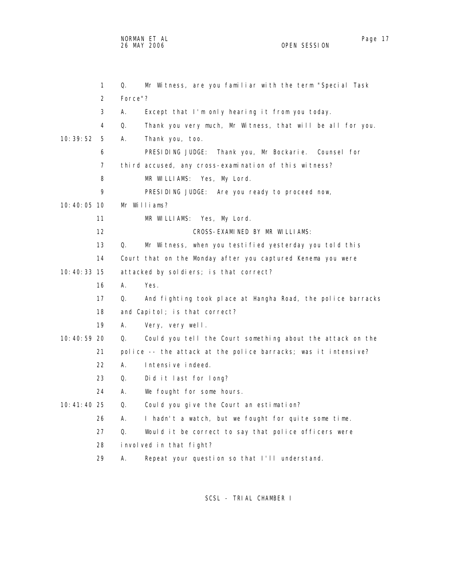NORMAN ET AL Page 17

OPEN SESSION

 1 Q. Mr Witness, are you familiar with the term "Special Task 2 Force"? 3 A. Except that I'm only hearing it from you today. 4 Q. Thank you very much, Mr Witness, that will be all for you. 10:39:52 5 A. Thank you, too. 6 PRESIDING JUDGE: Thank you, Mr Bockarie. Counsel for 7 third accused, any cross-examination of this witness? 8 MR WILLIAMS: Yes, My Lord. 9 PRESIDING JUDGE: Are you ready to proceed now, 10:40:05 10 Mr Williams? 11 MR WILLIAMS: Yes, My Lord. 12 CROSS-EXAMINED BY MR WILLIAMS: 13 Q. Mr Witness, when you testified yesterday you told this 14 Court that on the Monday after you captured Kenema you were 10:40:33 15 attacked by soldiers; is that correct? 16 A. Yes. 17 Q. And fighting took place at Hangha Road, the police barracks 18 and Capitol; is that correct? 19 A. Very, very well. 10:40:59 20 Q. Could you tell the Court something about the attack on the 21 police -- the attack at the police barracks; was it intensive? 22 A. Intensive indeed. 23 Q. Did it last for long? 24 A. We fought for some hours. 10:41:40 25 Q. Could you give the Court an estimation? 26 A. I hadn't a watch, but we fought for quite some time. 27 Q. Would it be correct to say that police officers were 28 involved in that fight? 29 A. Repeat your question so that I'll understand.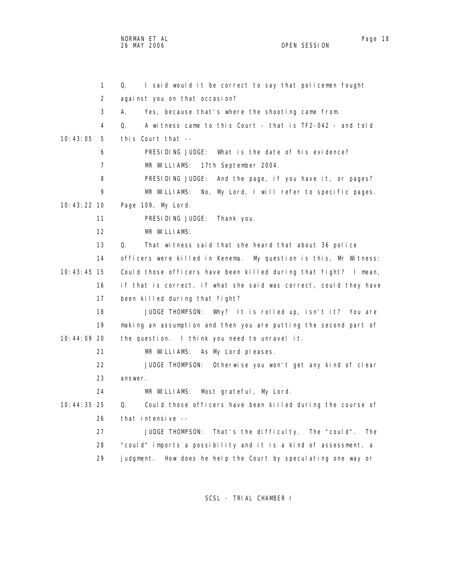NORMAN ET AL Page 18 and the set of the set of the set of the set of the set of the set of the set of the set o 26 MAY 2006 OPEN SESSION

| 1              | Q.<br>I said would it be correct to say that policemen fought     |
|----------------|-------------------------------------------------------------------|
| 2              | against you on that occasion?                                     |
| 3              | А.<br>Yes, because that's where the shooting came from.           |
| 4              | Q.<br>A witness came to this Court - that is TF2-042 - and told   |
| 10:43:05<br>5  | this Court that $-$                                               |
| 6              | PRESIDING JUDGE:<br>What is the date of his evidence?             |
| $\overline{7}$ | 17th September 2004.<br>MR WILLIAMS:                              |
| 8              | PRESIDING JUDGE:<br>And the page, if you have it, or pages?       |
| 9              | MR WILLIAMS:<br>No, My Lord, I will refer to specific pages.      |
| 10:43:22:10    | Page 109, My Lord.                                                |
| 11             | PRESIDING JUDGE:<br>Thank you.                                    |
| 12             | MR WILLIAMS:                                                      |
| 13             | 0.<br>That witness said that she heard that about 36 police       |
| 14             | officers were killed in Kenema. My question is this, Mr Witness:  |
| $10:43:45$ 15  | Could those officers have been killed during that fight? I mean,  |
| 16             | if that is correct, if what she said was correct, could they have |
| 17             | been killed during that fight?                                    |
| 18             | JUDGE THOMPSON: Why? It is rolled up, isn't it? You are           |
| 19             | making an assumption and then you are putting the second part of  |
| 10:44:09 20    | the question. I think you need to unravel it.                     |
| 21             | MR WILLIAMS:<br>As My Lord pleases.                               |
| 22             | JUDGE THOMPSON:<br>Otherwise you won't get any kind of clear      |
| 23             | answer.                                                           |
| 24             | Most grateful, My Lord.<br>MR WILLIAMS:                           |
| 10:44:35 25    | Q.<br>Could those officers have been killed during the course of  |
| 26             | that intensive --                                                 |
| 27             | JUDGE THOMPSON: That's the difficulty. The "could".<br><b>The</b> |
| 28             | "could" imports a possibility and it is a kind of assessment, a   |
| 29             | How does he help the Court by speculating one way or<br>judgment. |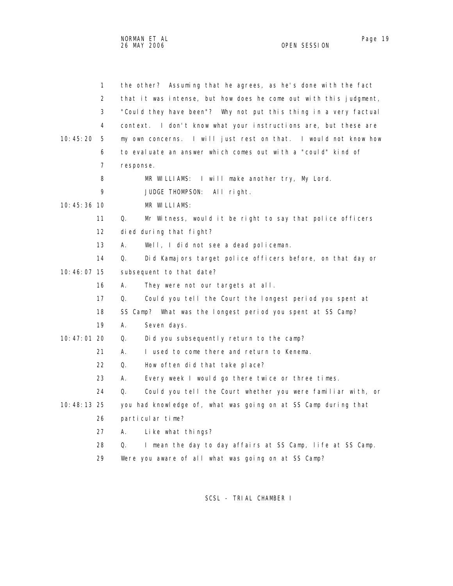| $\mathbf{1}$    | the other? Assuming that he agrees, as he's done with the fact    |
|-----------------|-------------------------------------------------------------------|
| 2               | that it was intense, but how does he come out with this judgment, |
| 3               | "Could they have been"? Why not put this thing in a very factual  |
| 4               | context. I don't know what your instructions are, but these are   |
| 10: 45: 20<br>5 | my own concerns. I will just rest on that. I would not know how   |
| 6               | to evaluate an answer which comes out with a "could" kind of      |
| 7               | response.                                                         |
| 8               | MR WILLIAMS:<br>I will make another try, My Lord.                 |
| 9               | JUDGE THOMPSON:<br>All right.                                     |
| 10:45:36 10     | MR WILLIAMS:                                                      |
| 11              | Q.<br>Mr Witness, would it be right to say that police officers   |
| 12              | died during that fight?                                           |
| 13              | А.<br>Well, I did not see a dead policeman.                       |
| 14              | Did Kamajors target police officers before, on that day or<br>Q.  |
| 10:46:07 15     | subsequent to that date?                                          |
| 16              | А.<br>They were not our targets at all.                           |
| 17              | Q.<br>Could you tell the Court the longest period you spent at    |
| 18              | SS Camp? What was the longest period you spent at SS Camp?        |
| 19              | А.<br>Seven days.                                                 |
| 10:47:01 20     | Did you subsequently return to the camp?<br>Q.                    |
| 21              | Α.<br>I used to come there and return to Kenema.                  |
| 22              | How often did that take place?<br>Q.                              |
| 23              | А.<br>Every week I would go there twice or three times.           |
| 24              | Q.<br>Could you tell the Court whether you were familiar with, or |
| 10:48:13 25     | you had knowledge of, what was going on at SS Camp during that    |
| 26              | particular time?                                                  |
| 27              | А.<br>Like what things?                                           |
| 28              | I mean the day to day affairs at SS Camp, life at SS Camp.<br>Q.  |
| 29              | Were you aware of all what was going on at SS Camp?               |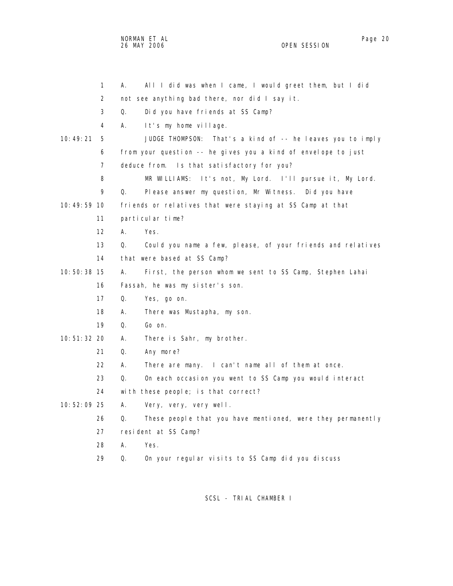NORMAN ET AL Page 20 and the state of the state of the state of the state of the state of the state of the state of the state of the state of the state of the state of the state of the state of the state of the state of th 26 MAY 2006 OPEN SESSION

|               | $\mathbf{1}$   | All I did was when I came, I would greet them, but I did<br>А.    |
|---------------|----------------|-------------------------------------------------------------------|
|               | 2              | not see anything bad there, nor did I say it.                     |
|               | 3              | Q.<br>Did you have friends at SS Camp?                            |
|               | 4              | А.<br>It's my home village.                                       |
| 10:49:21      | 5              | That's a kind of -- he leaves you to imply<br>JUDGE THOMPSON:     |
|               | 6              | from your question -- he gives you a kind of envelope to just     |
|               | $\overline{7}$ | deduce from. Is that satisfactory for you?                        |
|               | 8              | MR WILLIAMS:<br>It's not, My Lord. I'll pursue it, My Lord.       |
|               | 9              | Q.<br>Please answer my question, Mr Witness. Did you have         |
| 10:49:59 10   |                | friends or relatives that were staying at SS Camp at that         |
|               | 11             | particular time?                                                  |
|               | 12             | А.<br>Yes.                                                        |
|               | 13             | Q.<br>Could you name a few, please, of your friends and relatives |
|               | 14             | that were based at SS Camp?                                       |
| 10:50:38 15   |                | А.<br>First, the person whom we sent to SS Camp, Stephen Lahai    |
|               | 16             | Fassah, he was my sister's son.                                   |
|               | 17             | Q.<br>Yes, go on.                                                 |
|               | 18             | А.<br>There was Mustapha, my son.                                 |
|               | 19             | Q.<br>Go on.                                                      |
| 10: 51: 32 20 |                | А.<br>There is Sahr, my brother.                                  |
|               | 21             | Q.<br>Any more?                                                   |
|               | 22             | А.<br>There are many. I can't name all of them at once.           |
|               | 23             | Q.<br>On each occasion you went to SS Camp you would interact     |
|               | 24             | with these people; is that correct?                               |
| 10:52:09 25   |                | А.<br>Very, very, very well.                                      |
|               | 26             | These people that you have mentioned, were they permanently<br>Q. |
|               | 27             | resident at SS Camp?                                              |
|               | 28             | А.<br>Yes.                                                        |
|               | 29             | On your regular visits to SS Camp did you discuss<br>Q.           |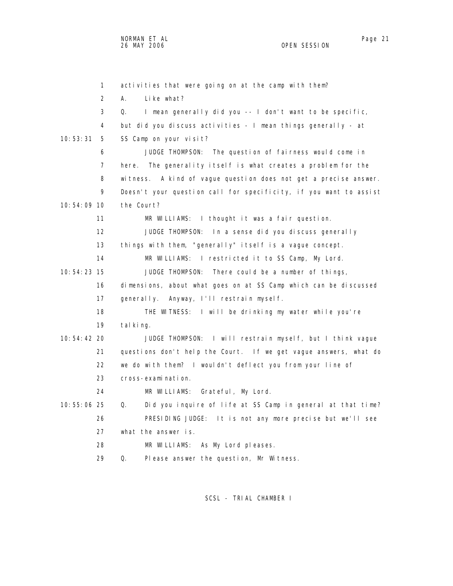1 activities that were going on at the camp with them? 2 A. Like what? 3 Q. I mean generally did you -- I don't want to be specific, 4 but did you discuss activities - I mean things generally - at 10:53:31 5 SS Camp on your visit? 6 JUDGE THOMPSON: The question of fairness would come in 7 here. The generality itself is what creates a problem for the 8 witness. A kind of vague question does not get a precise answer. 9 Doesn't your question call for specificity, if you want to assist 10:54:09 10 the Court? 11 MR WILLIAMS: I thought it was a fair question. 12 JUDGE THOMPSON: In a sense did you discuss generally 13 things with them, "generally" itself is a vague concept. 14 MR WILLIAMS: I restricted it to SS Camp, My Lord. 10:54:23 15 JUDGE THOMPSON: There could be a number of things, 16 dimensions, about what goes on at SS Camp which can be discussed 17 generally. Anyway, I'll restrain myself. 18 THE WITNESS: I will be drinking my water while you're 19 tal king. 10:54:42 20 JUDGE THOMPSON: I will restrain myself, but I think vague 21 questions don't help the Court. If we get vague answers, what do 22 we do with them? I wouldn't deflect you from your line of 23 cross-examination. 24 MR WILLIAMS: Grateful, My Lord. 10:55:06 25 Q. Did you inquire of life at SS Camp in general at that time? 26 PRESIDING JUDGE: It is not any more precise but we'll see 27 what the answer is. 28 MR WILLIAMS: As My Lord pleases. 29 Q. Please answer the question, Mr Witness.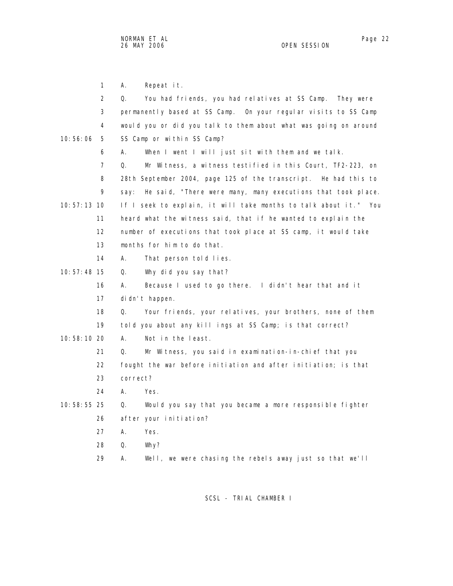1 A. Repeat it.

|               | $\overline{2}$ | You had friends, you had relatives at SS Camp.<br>Q.<br>They were   |
|---------------|----------------|---------------------------------------------------------------------|
|               | 3              | permanently based at SS Camp. On your regular visits to SS Camp     |
|               | 4              | would you or did you talk to them about what was going on around    |
| 10:56:06      | 5              | SS Camp or within SS Camp?                                          |
|               | 6              | When I went I will just sit with them and we talk.<br>А.            |
|               | $\overline{7}$ | Q.<br>Mr Witness, a witness testified in this Court, TF2-223, on    |
|               | 8              | 28th September 2004, page 125 of the transcript. He had this to     |
|               | 9              | He said, "There were many, many executions that took place.<br>say: |
| $10:57:13$ 10 |                | If I seek to explain, it will take months to talk about it." You    |
|               | 11             | heard what the witness said, that if he wanted to explain the       |
|               | 12             | number of executions that took place at SS camp, it would take      |
|               | 13             | months for him to do that.                                          |
|               | 14             | А.<br>That person told lies.                                        |
| $10:57:48$ 15 |                | Why did you say that?<br>Q.                                         |
|               | 16             | А.<br>Because I used to go there. I didn't hear that and it         |
|               | 17             | di dn't happen.                                                     |
|               | 18             | Your friends, your relatives, your brothers, none of them<br>Q.     |
|               | 19             | told you about any kill ings at SS Camp; is that correct?           |
| 10:58:10 20   |                | А.<br>Not in the least.                                             |
|               | 21             | Mr Witness, you said in examination-in-chief that you<br>Q.         |
|               | 22             | fought the war before initiation and after initiation; is that      |
|               | 23             | correct?                                                            |
|               | 24             | А.<br>Yes.                                                          |
| 10:58:55 25   |                | Q.<br>Would you say that you became a more responsible fighter      |
|               | 26             | after your initiation?                                              |
|               | 27             | А.<br>Yes.                                                          |
|               | 28             | Q.<br>Why?                                                          |
|               | 29             | Well, we were chasing the rebels away just so that we'll<br>А.      |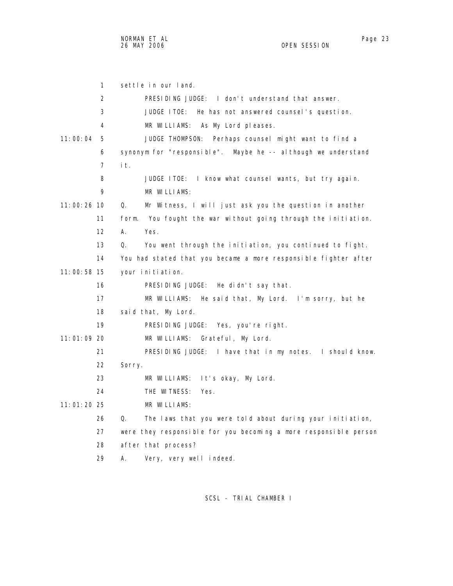1 settle in our land. 2 PRESIDING JUDGE: I don't understand that answer. 3 JUDGE ITOE: He has not answered counsel's question. 4 MR WILLIAMS: As My Lord pleases. 11:00:04 5 JUDGE THOMPSON: Perhaps counsel might want to find a 6 synonym for "responsible". Maybe he -- although we understand 7 it. 8 JUDGE ITOE: I know what counsel wants, but try again. 9 MR WILLIAMS: 11:00:26 10 Q. Mr Witness, I will just ask you the question in another 11 form. You fought the war without going through the initiation. 12 A. Yes. 13 Q. You went through the initiation, you continued to fight. 14 You had stated that you became a more responsible fighter after 11:00:58 15 your initiation. 16 PRESIDING JUDGE: He didn't say that. 17 MR WILLIAMS: He said that, My Lord. I'm sorry, but he 18 said that, My Lord. 19 PRESIDING JUDGE: Yes, you're right. 11:01:09 20 MR WILLIAMS: Grateful, My Lord. 21 PRESIDING JUDGE: I have that in my notes. I should know. 22 Sorry. 23 MR WILLIAMS: It's okay, My Lord. 24 THE WITNESS: Yes. 11:01:20 25 MR WILLIAMS: 26 Q. The laws that you were told about during your initiation, 27 were they responsible for you becoming a more responsible person 28 after that process? 29 A. Very, very well indeed.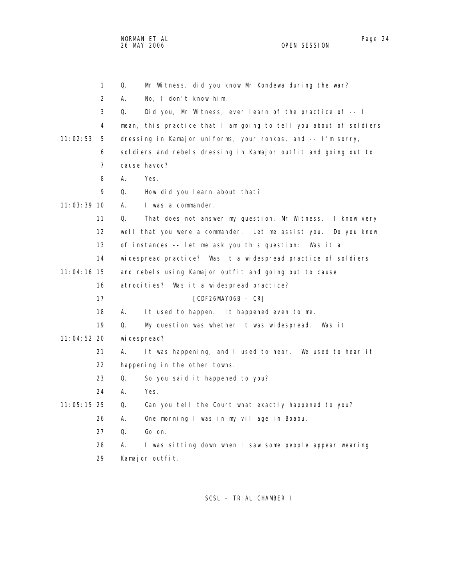NORMAN ET AL Page 24

OPEN SESSION

 1 Q. Mr Witness, did you know Mr Kondewa during the war? 2 A. No, I don't know him. 3 Q. Did you, Mr Witness, ever learn of the practice of -- I 4 mean, this practice that I am going to tell you about of soldiers 11:02:53 5 dressing in Kamajor uniforms, your ronkos, and -- I'm sorry, 6 soldiers and rebels dressing in Kamajor outfit and going out to 7 cause havoc? 8 A. Yes. 9 Q. How did you learn about that? 11:03:39 10 A. I was a commander. 11 Q. That does not answer my question, Mr Witness. I know very 12 well that you were a commander. Let me assist you. Do you know 13 of instances -- let me ask you this question: Was it a 14 widespread practice? Was it a widespread practice of soldiers 11:04:16 15 and rebels using Kamajor outfit and going out to cause 16 atrocities? Was it a widespread practice? 17 [CDF26MAY06B - CR] 18 A. It used to happen. It happened even to me. 19 Q. My question was whether it was widespread. Was it 11:04:52 20 widespread? 21 A. It was happening, and I used to hear. We used to hear it 22 happening in the other towns. 23 Q. So you said it happened to you? 24 A. Yes. 11:05:15 25 Q. Can you tell the Court what exactly happened to you? 26 A. One morning I was in my village in Boabu. 27 Q. Go on. 28 A. I was sitting down when I saw some people appear wearing 29 Kamajor outfit.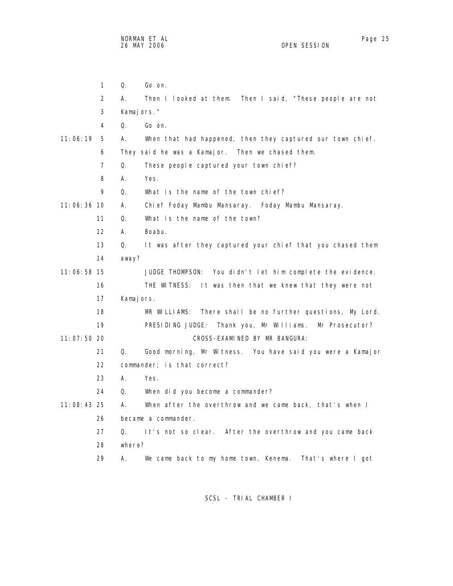1 Q. Go on. 2 A. Then I looked at them. Then I said, "These people are not 3 Kamajors." 4 Q. Go on. 11:06:19 5 A. When that had happened, then they captured our town chief. 6 They said he was a Kamajor. Then we chased them. 7 Q. These people captured your town chief? 8 A. Yes. 9 Q. What is the name of the town chief? 11:06:36 10 A. Chief Foday Mambu Mansaray. Foday Mambu Mansaray. 11 Q. What is the name of the town? 12 A. Boabu. 13 Q. It was after they captured your chief that you chased them 14 away? 11:06:58 15 JUDGE THOMPSON: You didn't let him complete the evidence. 16 THE WITNESS: It was then that we knew that they were not 17 Kamajors. 18 MR WILLIAMS: There shall be no further questions, My Lord. 19 PRESIDING JUDGE: Thank you, Mr Williams. Mr Prosecutor? 11:07:50 20 CROSS-EXAMINED BY MR BANGURA: 21 Q. Good morning, Mr Witness. You have said you were a Kamajor 22 commander; is that correct? 23 A. Yes. 24 Q. When did you become a commander? 11:08:43 25 A. When after the overthrow and we came back, that's when I 26 became a commander. 27 Q. It's not so clear. After the overthrow and you came back 28 where? 29 A. We came back to my home town, Kenema. That's where I got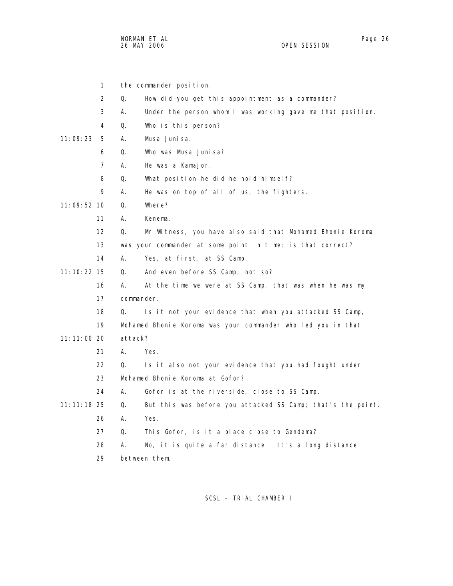NORMAN ET AL Page 26 and the state of the state of the state of the state of the state of the state of the state of the state of the state of the state of the state of the state of the state of the state of the state of th 26 MAY 2006 OPEN SESSION

|               | 1              |         | the commander position.                                      |
|---------------|----------------|---------|--------------------------------------------------------------|
|               | $\overline{2}$ | Q.      | How did you get this appointment as a commander?             |
|               | 3              | А.      | Under the person whom I was working gave me that position.   |
|               | 4              | Q.      | Who is this person?                                          |
| 11:09:23      | 5              | А.      | Musa Juni sa.                                                |
|               | 6              | Q.      | Who was Musa Junisa?                                         |
|               | 7              | А.      | He was a Kamajor.                                            |
|               | 8              | Q.      | What position he did he hold himself?                        |
|               | 9              | А.      | He was on top of all of us, the fighters.                    |
| $11:09:52$ 10 |                | Q.      | Where?                                                       |
|               | 11             | А.      | Kenema.                                                      |
|               | 12             | Q.      | Mr Witness, you have also said that Mohamed Bhonie Koroma    |
|               | 13             |         | was your commander at some point in time; is that correct?   |
|               | 14             | А.      | Yes, at first, at SS Camp.                                   |
| 11: 10: 22 15 |                | Q.      | And even before SS Camp; not so?                             |
|               | 16             | А.      | At the time we were at SS Camp, that was when he was my      |
|               | 17             |         | commander.                                                   |
|               | 18             | Q.      | Is it not your evidence that when you attacked SS Camp,      |
|               | 19             |         | Mohamed Bhonie Koroma was your commander who led you in that |
| $11:11:00$ 20 |                | attack? |                                                              |
|               | 21             | А.      | Yes.                                                         |
|               | 22             | Q.      | Is it also not your evidence that you had fought under       |
|               | 23             |         | Mohamed Bhonie Koroma at Gofor?                              |
|               | 24             | А.      | Gofor is at the riverside, close to SS Camp.                 |
| 11: 11: 18 25 |                | Q.      | But this was before you attacked SS Camp; that's the point.  |
|               | 26             | А.      | Yes.                                                         |
|               | 27             | Q.      | This Gofor, is it a place close to Gendema?                  |
|               | 28             | Α.      | No, it is quite a far distance. It's a long distance         |
|               | 29             |         | between them.                                                |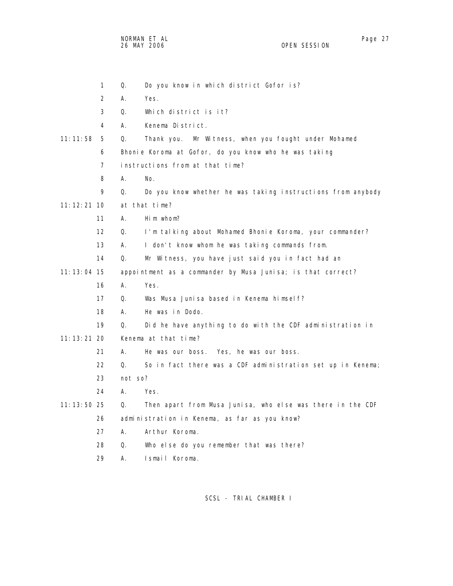NORMAN ET AL Page 27 and the set of the set of the set of the set of the set of the set of the set of the set o 26 MAY 2006 OPEN SESSION

|               | 1              | Q.      | Do you know in which district Gofor is?                     |
|---------------|----------------|---------|-------------------------------------------------------------|
|               | 2              | А.      | Yes.                                                        |
|               | 3              | Q.      | Which district is it?                                       |
|               | 4              | А.      | Kenema District.                                            |
| 11:11:58      | 5              | Q.      | Thank you. Mr Witness, when you fought under Mohamed        |
|               | 6              |         | Bhonie Koroma at Gofor, do you know who he was taking       |
|               | $\overline{7}$ |         | instructions from at that time?                             |
|               | 8              | А.      | No.                                                         |
|               | 9              | Q.      | Do you know whether he was taking instructions from anybody |
| $11:12:21$ 10 |                |         | at that time?                                               |
|               | 11             | А.      | Him whom?                                                   |
|               | 12             | Q.      | I'm talking about Mohamed Bhonie Koroma, your commander?    |
|               | 13             | А.      | I don't know whom he was taking commands from.              |
|               | 14             | Q.      | Mr Witness, you have just said you in fact had an           |
| $11:13:04$ 15 |                |         | appointment as a commander by Musa Junisa; is that correct? |
|               | 16             | А.      | Yes.                                                        |
|               | 17             | Q.      | Was Musa Junisa based in Kenema himself?                    |
|               | 18             | А.      | He was in Dodo.                                             |
|               | 19             | Q.      | Did he have anything to do with the CDF administration in   |
| $11:13:21$ 20 |                |         | Kenema at that time?                                        |
|               | 21             | А.      | He was our boss. Yes, he was our boss.                      |
|               | 22             | Q.      | So in fact there was a CDF administration set up in Kenema; |
|               | 23             | not so? |                                                             |
|               | 24             | А.      | Yes.                                                        |
| $11:13:50$ 25 |                | Q.      | Then apart from Musa Junisa, who else was there in the CDF  |
|               | 26             |         | administration in Kenema, as far as you know?               |
|               | 27             | А.      | Arthur Koroma.                                              |
|               | 28             | 0.      | Who else do you remember that was there?                    |
|               | 29             | А.      | Ismail Koroma.                                              |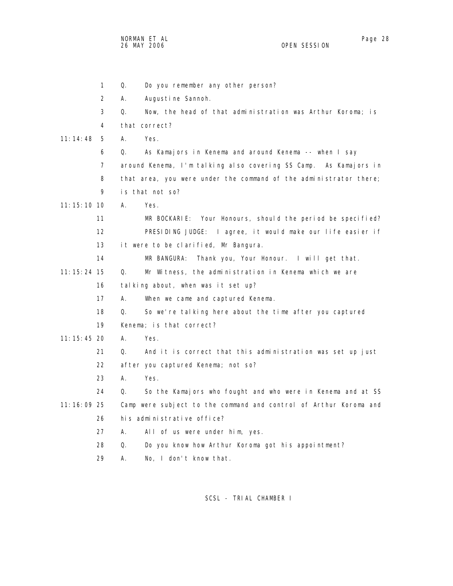NORMAN ET AL Page 28

OPEN SESSION

 1 Q. Do you remember any other person? 2 A. Augustine Sannoh. 3 Q. Now, the head of that administration was Arthur Koroma; is 4 that correct? 11:14:48 5 A. Yes. 6 Q. As Kamajors in Kenema and around Kenema -- when I say 7 around Kenema, I'm talking also covering SS Camp. As Kamajors in 8 that area, you were under the command of the administrator there; 9 is that not so? 11:15:10 10 A. Yes. 11 MR BOCKARIE: Your Honours, should the period be specified? 12 PRESIDING JUDGE: I agree, it would make our life easier if 13 it were to be clarified, Mr Bangura. 14 MR BANGURA: Thank you, Your Honour. I will get that. 11:15:24 15 Q. Mr Witness, the administration in Kenema which we are 16 talking about, when was it set up? 17 A. When we came and captured Kenema. 18 Q. So we're talking here about the time after you captured 19 Kenema; is that correct? 11:15:45 20 A. Yes. 21 Q. And it is correct that this administration was set up just 22 after you captured Kenema; not so? 23 A. Yes. 24 Q. So the Kamajors who fought and who were in Kenema and at SS 11:16:09 25 Camp were subject to the command and control of Arthur Koroma and 26 his administrative office? 27 A. All of us were under him, yes. 28 Q. Do you know how Arthur Koroma got his appointment? 29 A. No, I don't know that.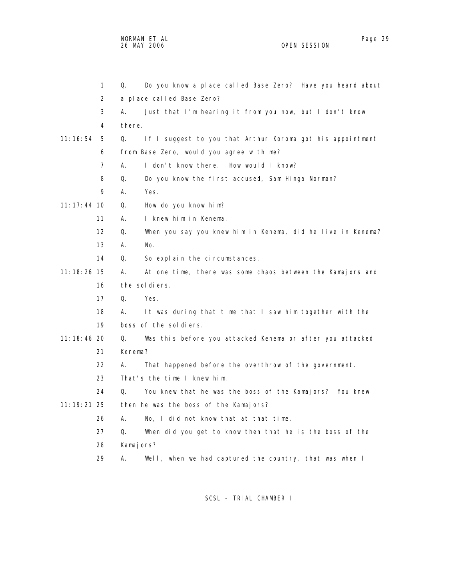NORMAN ET AL Page 29 and the state of the state of the state of the state of the state of the state of the state of the state of the state of the state of the state of the state of the state of the state of the state of th 26 MAY 2006 OPEN SESSION

|          | 1             | Do you know a place called Base Zero? Have you heard about<br>Q.  |
|----------|---------------|-------------------------------------------------------------------|
|          | 2             | a place called Base Zero?                                         |
|          | 3             | Just that I'm hearing it from you now, but I don't know<br>А.     |
|          | 4             | there.                                                            |
| 11:16:54 | 5             | Q.<br>If I suggest to you that Arthur Koroma got his appointment  |
|          | 6             | from Base Zero, would you agree with me?                          |
|          | 7             | А.<br>I don't know there. How would I know?                       |
|          | 8             | Do you know the first accused, Sam Hinga Norman?<br>Q.            |
|          | 9             | А.<br>Yes.                                                        |
|          | $11:17:44$ 10 | Q.<br>How do you know him?                                        |
|          | 11            | I knew him in Kenema.<br>А.                                       |
|          | 12            | Q.<br>When you say you knew him in Kenema, did he live in Kenema? |
|          | 13            | А.<br>No.                                                         |
|          | 14            | So explain the circumstances.<br>Q.                               |
|          | $11:18:26$ 15 | А.<br>At one time, there was some chaos between the Kamajors and  |
|          | 16            | the soldiers.                                                     |
|          | 17            | Q.<br>Yes.                                                        |
|          | 18            | А.<br>It was during that time that I saw him together with the    |
|          | 19            | boss of the soldiers.                                             |
|          | $11:18:46$ 20 | Was this before you attacked Kenema or after you attacked<br>Q.   |
|          | 21            | Kenema?                                                           |
|          | 22            | That happened before the overthrow of the government.<br>А.       |
|          | 23            | That's the time I knew him.                                       |
|          | 24            | Q.<br>You knew that he was the boss of the Kamajors? You knew     |
|          | $11:19:21$ 25 | then he was the boss of the Kamajors?                             |
|          | 26            | А.<br>No, I did not know that at that time.                       |
|          | 27            | When did you get to know then that he is the boss of the<br>Q.    |
|          | 28            | Kamajors?                                                         |
|          | 29            | Well, when we had captured the country, that was when I<br>А.     |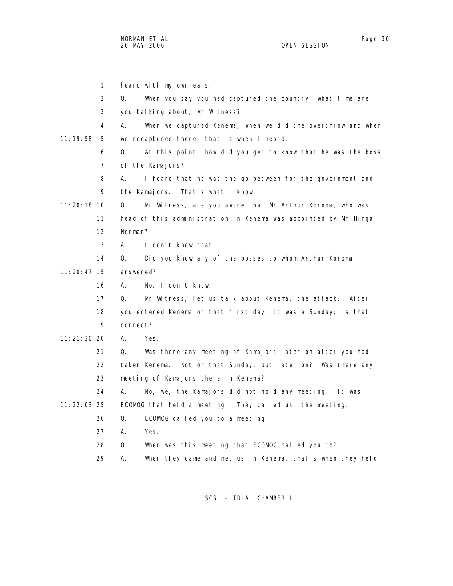|               | $\mathbf{1}$   | heard with my own ears.                                           |
|---------------|----------------|-------------------------------------------------------------------|
|               | 2              | When you say you had captured the country, what time are<br>Q.    |
|               | 3              | you talking about, Mr Witness?                                    |
|               | 4              | А.<br>When we captured Kenema, when we did the overthrow and when |
| 11:19:58      | 5              | we recaptured there, that is when I heard.                        |
|               | 6              | Q.<br>At this point, how did you get to know that he was the boss |
|               | $\overline{7}$ | of the Kamajors?                                                  |
|               | 8              | I heard that he was the go-between for the government and<br>А.   |
|               | 9              | the Kamajors. That's what I know.                                 |
| $11:20:18$ 10 |                | Q.<br>Mr Witness, are you aware that Mr Arthur Koroma, who was    |
|               | 11             | head of this administration in Kenema was appointed by Mr Hinga   |
|               | 12             | Norman?                                                           |
|               | 13             | А.<br>I don't know that.                                          |
|               | 14             | Q.<br>Did you know any of the bosses to whom Arthur Koroma        |
| $11:20:47$ 15 |                | answered?                                                         |
|               | 16             | No, I don't know.<br>А.                                           |
|               | 17             | Q.<br>Mr Witness, let us talk about Kenema, the attack. After     |
|               | 18             | you entered Kenema on that first day, it was a Sunday; is that    |
|               | 19             | correct?                                                          |
| 11:21:30 20   |                | Yes.<br>А.                                                        |
|               | 21             | Q.<br>Was there any meeting of Kamajors later on after you had    |
|               | 22             | Not on that Sunday, but later on? Was there any<br>taken Kenema.  |
|               | 23             | meeting of Kamajors there in Kenema?                              |
|               | 24             | А.<br>No, we, the Kamajors did not hold any meeting. It was       |
| $11:22:03$ 25 |                | ECOMOG that held a meeting. They called us, the meeting.          |
|               | 26             | ECOMOG called you to a meeting.<br>Q.                             |
|               | 27             | А.<br>Yes.                                                        |
|               | 28             | When was this meeting that ECOMOG called you to?<br>Q.            |
|               | 29             | Α.<br>When they came and met us in Kenema, that's when they held  |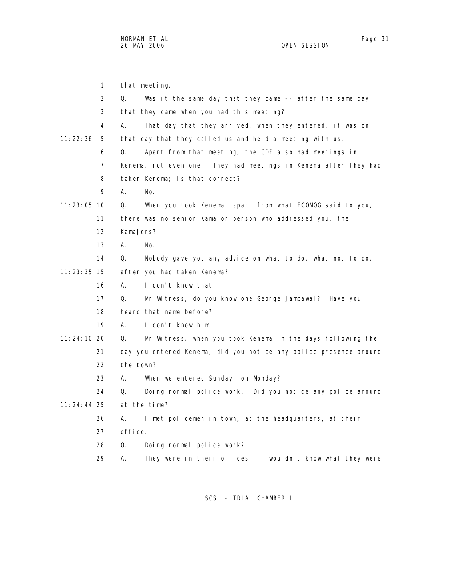|               | $\mathbf{1}$ | that meeting.                                                     |
|---------------|--------------|-------------------------------------------------------------------|
|               | 2            | Was it the same day that they came -- after the same day<br>Q.    |
|               | 3            | that they came when you had this meeting?                         |
|               | 4            | А.<br>That day that they arrived, when they entered, it was on    |
| 11:22:36      | 5            | that day that they called us and held a meeting with us.          |
|               | 6            | Apart from that meeting, the CDF also had meetings in<br>Q.       |
|               | 7            | Kenema, not even one. They had meetings in Kenema after they had  |
|               | 8            | taken Kenema; is that correct?                                    |
|               | 9            | А.<br>No.                                                         |
| $11:23:05$ 10 |              | When you took Kenema, apart from what ECOMOG said to you,<br>Q.   |
|               | 11           | there was no senior Kamajor person who addressed you, the         |
|               | 12           | Kamajors?                                                         |
|               | 13           | А.<br>No.                                                         |
|               | 14           | Q.<br>Nobody gave you any advice on what to do, what not to do,   |
| $11:23:35$ 15 |              | after you had taken Kenema?                                       |
|               | 16           | I don't know that.<br>А.                                          |
|               | 17           | Mr Witness, do you know one George Jambawai? Have you<br>Q.       |
|               | 18           | heard that name before?                                           |
|               | 19           | А.<br>I don't know him.                                           |
| 11:24:10 20   |              | Mr Witness, when you took Kenema in the days following the<br>Q.  |
|               | 21           | day you entered Kenema, did you notice any police presence around |
|               | 22           | the town?                                                         |
|               | 23           | А.<br>When we entered Sunday, on Monday?                          |
|               | 24           | Q.<br>Doing normal police work. Did you notice any police around  |
| $11:24:44$ 25 |              | at the time?                                                      |
|               | 26           | I met policemen in town, at the headquarters, at their<br>Α.      |
|               | 27           | office.                                                           |
|               | 28           | Doing normal police work?<br>Q.                                   |
|               | 29           | Α.<br>They were in their offices. I wouldn't know what they were  |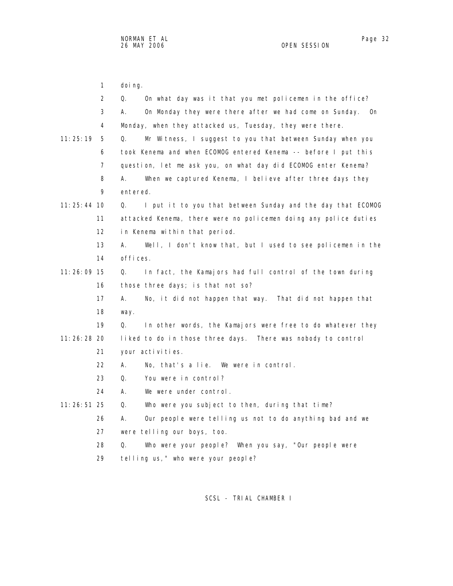1 doing. 2 Q. On what day was it that you met policemen in the office? 3 A. On Monday they were there after we had come on Sunday. On 4 Monday, when they attacked us, Tuesday, they were there. 11:25:19 5 Q. Mr Witness, I suggest to you that between Sunday when you 6 took Kenema and when ECOMOG entered Kenema -- before I put this 7 question, let me ask you, on what day did ECOMOG enter Kenema? 8 A. When we captured Kenema, I believe after three days they 9 entered. 11:25:44 10 Q. I put it to you that between Sunday and the day that ECOMOG 11 attacked Kenema, there were no policemen doing any police duties 12 in Kenema within that period. 13 A. Well, I don't know that, but I used to see policemen in the 14 offices. 11:26:09 15 Q. In fact, the Kamajors had full control of the town during 16 those three days; is that not so? 17 A. No, it did not happen that way. That did not happen that 18 way.

 19 Q. In other words, the Kamajors were free to do whatever they 11:26:28 20 liked to do in those three days. There was nobody to control 21 your activities.

- 22 A. No, that's a lie. We were in control.
- 23 Q. You were in control?
- 24 A. We were under control.
- 11:26:51 25 Q. Who were you subject to then, during that time?
	- 26 A. Our people were telling us not to do anything bad and we
	- 27 were telling our boys, too.

28 Q. Who were your people? When you say, "Our people were

29 telling us," who were your people?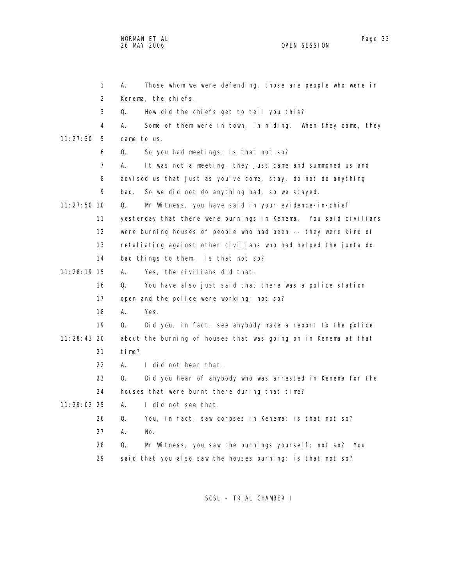|               | 1  | Those whom we were defending, those are people who were in<br>А. |
|---------------|----|------------------------------------------------------------------|
|               | 2  | Kenema, the chiefs.                                              |
|               | 3  | How did the chiefs get to tell you this?<br>Q.                   |
|               | 4  | А.<br>Some of them were in town, in hiding. When they came, they |
| 11:27:30      | 5  | came to us.                                                      |
|               | 6  | So you had meetings; is that not so?<br>Q.                       |
|               | 7  | It was not a meeting, they just came and summoned us and<br>А.   |
|               | 8  | advised us that just as you've come, stay, do not do anything    |
|               | 9  | So we did not do anything bad, so we stayed.<br>bad.             |
| $11:27:50$ 10 |    | Mr Witness, you have said in your evidence-in-chief<br>Q.        |
|               | 11 | yesterday that there were burnings in Kenema. You said civilians |
|               | 12 | were burning houses of people who had been -- they were kind of  |
|               | 13 | retaliating against other civilians who had helped the junta do  |
|               | 14 | bad things to them. Is that not so?                              |
| $11:28:19$ 15 |    | Yes, the civilians did that.<br>А.                               |
|               | 16 | You have also just said that there was a police station<br>Q.    |
|               | 17 | open and the police were working; not so?                        |
|               | 18 | А.<br>Yes.                                                       |
|               | 19 | Did you, in fact, see anybody make a report to the police<br>Q.  |
| 11:28:43 20   |    | about the burning of houses that was going on in Kenema at that  |
|               | 21 | time?                                                            |
|               | 22 | I did not hear that.<br>А.                                       |
|               | 23 | Q.<br>Did you hear of anybody who was arrested in Kenema for the |
|               | 24 | houses that were burnt there during that time?                   |
| 11:29:02 25   |    | А.<br>I did not see that.                                        |
|               | 26 | You, in fact, saw corpses in Kenema; is that not so?<br>Q.       |
|               | 27 | А.<br>No.                                                        |
|               | 28 | Q.<br>Mr Witness, you saw the burnings yourself; not so? You     |
|               | 29 | said that you also saw the houses burning; is that not so?       |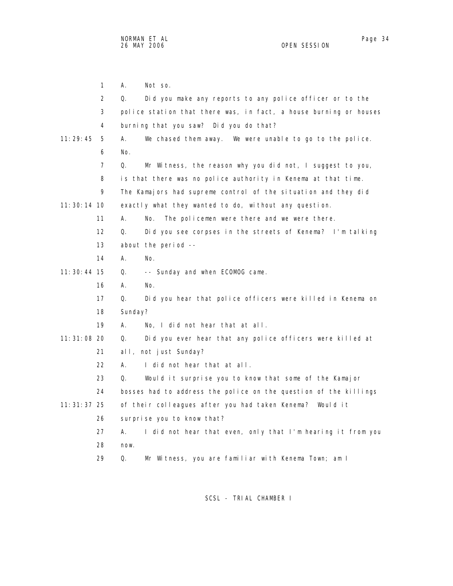1 A. Not so. 2 Q. Did you make any reports to any police officer or to the 3 police station that there was, in fact, a house burning or houses 4 burning that you saw? Did you do that? 11:29:45 5 A. We chased them away. We were unable to go to the police. 6 No. 7 Q. Mr Witness, the reason why you did not, I suggest to you, 8 is that there was no police authority in Kenema at that time. 9 The Kamajors had supreme control of the situation and they did 11:30:14 10 exactly what they wanted to do, without any question. 11 A. No. The policemen were there and we were there. 12 Q. Did you see corpses in the streets of Kenema? I'm talking 13 about the period -- 14 A. No. 11:30:44 15 Q. -- Sunday and when ECOMOG came. 16 A. No. 17 Q. Did you hear that police officers were killed in Kenema on 18 Sunday? 19 A. No, I did not hear that at all. 11:31:08 20 Q. Did you ever hear that any police officers were killed at 21 all, not just Sunday? 22 A. I did not hear that at all. 23 Q. Would it surprise you to know that some of the Kamajor 24 bosses had to address the police on the question of the killings 11:31:37 25 of their colleagues after you had taken Kenema? Would it 26 surprise you to know that? 27 A. I did not hear that even, only that I'm hearing it from you 28 now. 29 Q. Mr Witness, you are familiar with Kenema Town; am I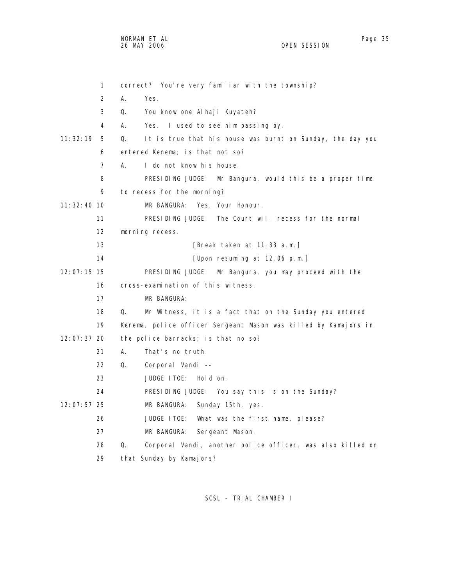NORMAN ET AL Page 35

OPEN SESSION

 1 correct? You're very familiar with the township? 2 A. Yes. 3 Q. You know one Alhaji Kuyateh? 4 A. Yes. I used to see him passing by. 11:32:19 5 Q. It is true that his house was burnt on Sunday, the day you 6 entered Kenema; is that not so? 7 A. I do not know his house. 8 PRESIDING JUDGE: Mr Bangura, would this be a proper time 9 to recess for the morning? 11:32:40 10 MR BANGURA: Yes, Your Honour. 11 PRESIDING JUDGE: The Court will recess for the normal 12 morning recess. 13 **I**Break taken at 11.33 a.m.] 14 [Upon resuming at 12.06 p.m.] 12:07:15 15 PRESIDING JUDGE: Mr Bangura, you may proceed with the 16 cross-examination of this witness. 17 MR BANGURA: 18 Q. Mr Witness, it is a fact that on the Sunday you entered 19 Kenema, police officer Sergeant Mason was killed by Kamajors in 12:07:37 20 the police barracks; is that no so? 21 A. That's no truth. 22 Q. Corporal Vandi -- 23 JUDGE ITOE: Hold on. 24 PRESIDING JUDGE: You say this is on the Sunday? 12:07:57 25 MR BANGURA: Sunday 15th, yes. 26 JUDGE ITOE: What was the first name, please? 27 MR BANGURA: Sergeant Mason. 28 Q. Corporal Vandi, another police officer, was also killed on 29 that Sunday by Kamajors?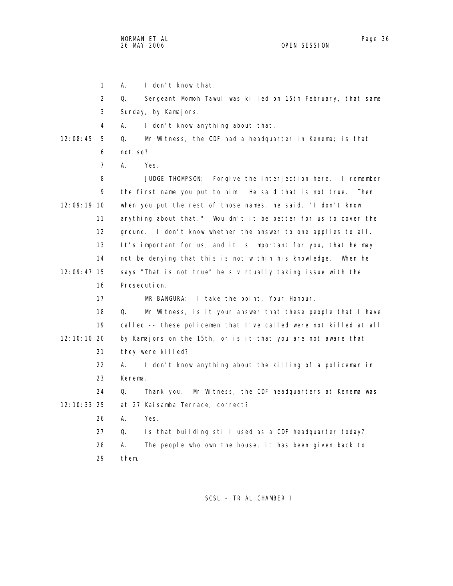NORMAN ET AL Page 36

1 A. I don't know that.

 3 Sunday, by Kamajors. 4 A. I don't know anything about that. 12:08:45 5 Q. Mr Witness, the CDF had a headquarter in Kenema; is that 6 not so? 7 A. Yes. 8 JUDGE THOMPSON: Forgive the interjection here. I remember 9 the first name you put to him. He said that is not true. Then 12:09:19 10 when you put the rest of those names, he said, "I don't know 11 anything about that." Wouldn't it be better for us to cover the 12 ground. I don't know whether the answer to one applies to all. 13 It's important for us, and it is important for you, that he may 14 not be denying that this is not within his knowledge. When he 12:09:47 15 says "That is not true" he's virtually taking issue with the 16 Prosecution. 17 MR BANGURA: I take the point, Your Honour. 18 Q. Mr Witness, is it your answer that these people that I have 19 called -- these policemen that I've called were not killed at all 12:10:10 20 by Kamajors on the 15th, or is it that you are not aware that 21 they were killed? 22 A. I don't know anything about the killing of a policeman in 23 Kenema. 24 Q. Thank you. Mr Witness, the CDF headquarters at Kenema was 12:10:33 25 at 27 Kaisamba Terrace; correct? 26 A. Yes. 27 Q. Is that building still used as a CDF headquarter today? 28 A. The people who own the house, it has been given back to 29 them. SCSL - TRIAL CHAMBER I

2 Q. Sergeant Momoh Tawul was killed on 15th February, that same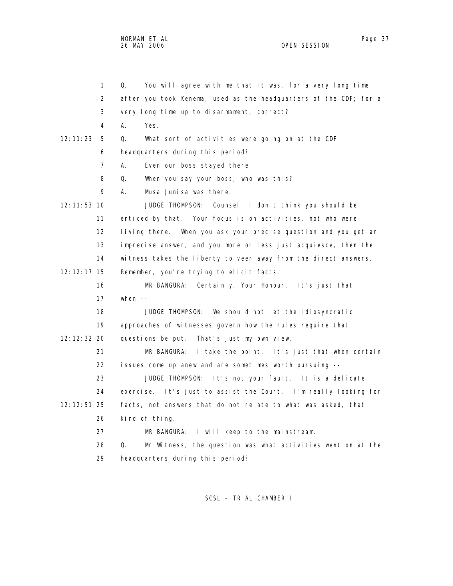NORMAN ET AL Page 37

OPEN SESSION

 1 Q. You will agree with me that it was, for a very long time 2 after you took Kenema, used as the headquarters of the CDF; for a 3 very long time up to disarmament; correct? 4 A. Yes. 12:11:23 5 Q. What sort of activities were going on at the CDF 6 headquarters during this period? 7 A. Even our boss stayed there. 8 Q. When you say your boss, who was this? 9 A. Musa Junisa was there. 12:11:53 10 JUDGE THOMPSON: Counsel, I don't think you should be 11 enticed by that. Your focus is on activities, not who were 12 living there. When you ask your precise question and you get an 13 imprecise answer, and you more or less just acquiesce, then the 14 witness takes the liberty to veer away from the direct answers. 12:12:17 15 Remember, you're trying to elicit facts. 16 MR BANGURA: Certainly, Your Honour. It's just that 17 when -- 18 JUDGE THOMPSON: We should not let the idiosyncratic 19 approaches of witnesses govern how the rules require that 12:12:32 20 questions be put. That's just my own view. 21 MR BANGURA: I take the point. It's just that when certain 22 issues come up anew and are sometimes worth pursuing -- 23 JUDGE THOMPSON: It's not your fault. It is a delicate 24 exercise. It's just to assist the Court. I'm really looking for 12:12:51 25 facts, not answers that do not relate to what was asked, that 26 kind of thing. 27 MR BANGURA: I will keep to the mainstream. 28 Q. Mr Witness, the question was what activities went on at the 29 headquarters during this period?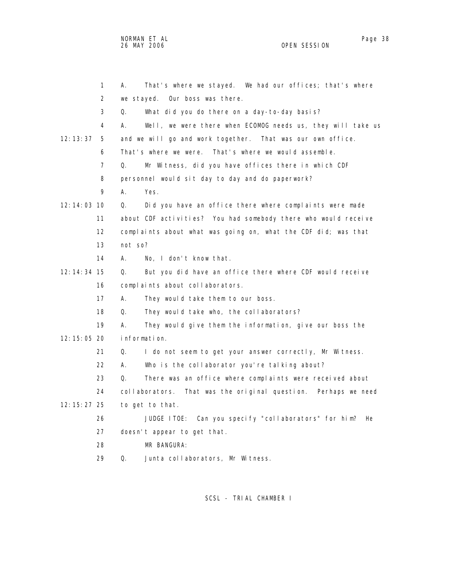NORMAN ET AL Page 38 and the set of the set of the set of the set of the set of the set of the set of the set o 26 MAY 2006 OPEN SESSION

|               | $\mathbf{1}$      | That's where we stayed. We had our offices; that's where<br>А.    |
|---------------|-------------------|-------------------------------------------------------------------|
|               | 2                 | we stayed.<br>Our boss was there.                                 |
|               | 3                 | Q.<br>What did you do there on a day-to-day basis?                |
|               | 4                 | А.<br>Well, we were there when ECOMOG needs us, they will take us |
| 12:13:37      | 5                 | and we will go and work together. That was our own office.        |
|               | 6                 | That's where we were. That's where we would assemble.             |
|               | $\overline{7}$    | Q.<br>Mr Witness, did you have offices there in which CDF         |
|               | 8                 | personnel would sit day to day and do paperwork?                  |
|               | 9                 | А.<br>Yes.                                                        |
| $12:14:03$ 10 |                   | Q.<br>Did you have an office there where complaints were made     |
|               | 11                | about CDF activities? You had somebody there who would receive    |
|               | $12 \overline{ }$ | complaints about what was going on, what the CDF did; was that    |
|               | 13                | not so?                                                           |
|               | 14                | No, I don't know that.<br>А.                                      |
| 12: 14: 34 15 |                   | But you did have an office there where CDF would receive<br>Q.    |
|               | 16                | complaints about collaborators.                                   |
|               | 17                | А.<br>They would take them to our boss.                           |
|               | 18                | Q.<br>They would take who, the collaborators?                     |
|               | 19                | А.<br>They would give them the information, give our boss the     |
| 12:15:05 20   |                   | information.                                                      |
|               | 21                | Q.<br>I do not seem to get your answer correctly, Mr Witness.     |
|               | 22                | А.<br>Who is the collaborator you're talking about?               |
|               | 23                | Q.<br>There was an office where complaints were received about    |
|               | 24                | collaborators. That was the original question. Perhaps we need    |
| 12: 15: 27 25 |                   | to get to that.                                                   |
|               | 26                | JUDGE ITOE: Can you specify "collaborators" for him?<br>He        |
|               | 27                | doesn't appear to get that.                                       |
|               | 28                | MR BANGURA:                                                       |
|               | 29                | Q.<br>Junta collaborators, Mr Witness.                            |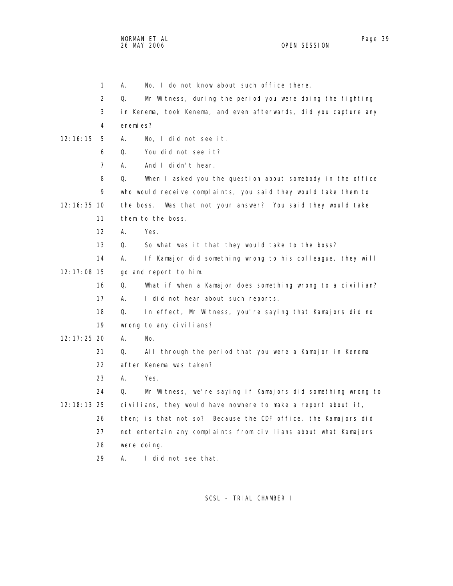NORMAN ET AL Page 39

 1 A. No, I do not know about such office there. 2 Q. Mr Witness, during the period you were doing the fighting 3 in Kenema, took Kenema, and even afterwards, did you capture any 4 enemies? 12:16:15 5 A. No, I did not see it. 6 Q. You did not see it? 7 A. And I didn't hear. 8 Q. When I asked you the question about somebody in the office 9 who would receive complaints, you said they would take them to 12:16:35 10 the boss. Was that not your answer? You said they would take 11 them to the boss. 12 A. Yes. 13 Q. So what was it that they would take to the boss? 14 A. If Kamajor did something wrong to his colleague, they will 12:17:08 15 go and report to him. 16 Q. What if when a Kamajor does something wrong to a civilian? 17 A. I did not hear about such reports. 18 Q. In effect, Mr Witness, you're saying that Kamajors did no 19 wrong to any civilians? 12:17:25 20 A. No. 21 Q. All through the period that you were a Kamajor in Kenema 22 after Kenema was taken? 23 A. Yes. 24 Q. Mr Witness, we're saying if Kamajors did something wrong to 12:18:13 25 civilians, they would have nowhere to make a report about it, 26 then; is that not so? Because the CDF office, the Kamajors did 27 not entertain any complaints from civilians about what Kamajors 28 were doing. 29 A. I did not see that.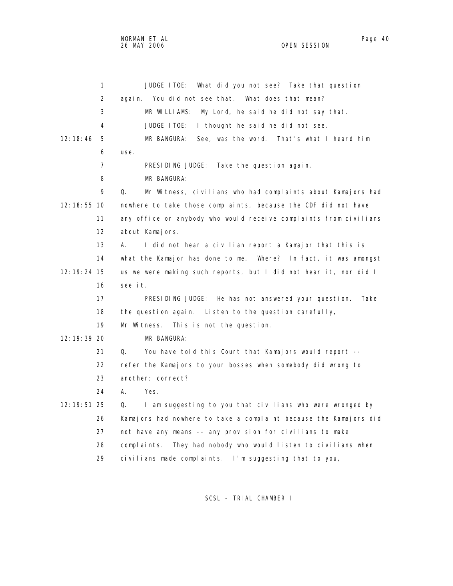NORMAN ET AL Page 40

 1 JUDGE ITOE: What did you not see? Take that question 2 again. You did not see that. What does that mean? 3 MR WILLIAMS: My Lord, he said he did not say that. 4 JUDGE ITOE: I thought he said he did not see. 12:18:46 5 MR BANGURA: See, was the word. That's what I heard him 6 use. 7 PRESIDING JUDGE: Take the question again. 8 MR BANGURA: 9 Q. Mr Witness, civilians who had complaints about Kamajors had 12:18:55 10 nowhere to take those complaints, because the CDF did not have 11 any office or anybody who would receive complaints from civilians 12 about Kamajors. 13 A. I did not hear a civilian report a Kamajor that this is 14 what the Kamajor has done to me. Where? In fact, it was amongst 12:19:24 15 us we were making such reports, but I did not hear it, nor did I 16 see it. 17 PRESIDING JUDGE: He has not answered your question. Take 18 the question again. Listen to the question carefully, 19 Mr Witness. This is not the question. 12:19:39 20 MR BANGURA: 21 Q. You have told this Court that Kamajors would report -- 22 refer the Kamajors to your bosses when somebody did wrong to 23 another; correct? 24 A. Yes. 12:19:51 25 Q. I am suggesting to you that civilians who were wronged by 26 Kamajors had nowhere to take a complaint because the Kamajors did 27 not have any means -- any provision for civilians to make 28 complaints. They had nobody who would listen to civilians when 29 civilians made complaints. I'm suggesting that to you,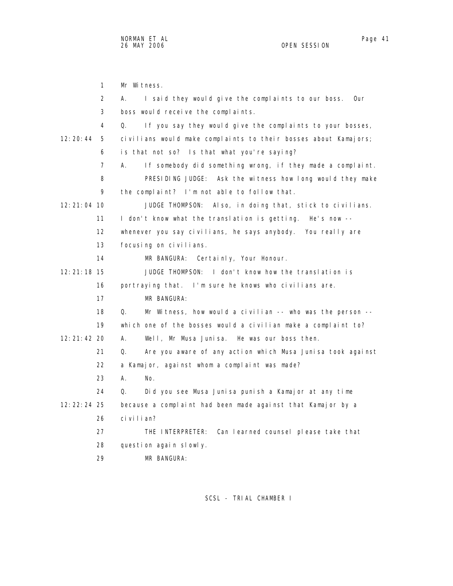1 Mr Witness. 2 A. I said they would give the complaints to our boss. Our 3 boss would receive the complaints. 4 Q. If you say they would give the complaints to your bosses, 12:20:44 5 civilians would make complaints to their bosses about Kamajors; 6 is that not so? Is that what you're saying? 7 A. If somebody did something wrong, if they made a complaint. 8 PRESIDING JUDGE: Ask the witness how long would they make 9 the complaint? I'm not able to follow that. 12:21:04 10 JUDGE THOMPSON: Also, in doing that, stick to civilians. 11 I don't know what the translation is getting. He's now -- 12 whenever you say civilians, he says anybody. You really are 13 focusing on civilians. 14 MR BANGURA: Certainly, Your Honour. 12:21:18 15 JUDGE THOMPSON: I don't know how the translation is 16 portraying that. I'm sure he knows who civilians are. 17 MR BANGURA: 18 Q. Mr Witness, how would a civilian -- who was the person -- 19 which one of the bosses would a civilian make a complaint to? 12:21:42 20 A. Well, Mr Musa Junisa. He was our boss then. 21 Q. Are you aware of any action which Musa Junisa took against 22 a Kamajor, against whom a complaint was made? 23 A. No. 24 Q. Did you see Musa Junisa punish a Kamajor at any time 12:22:24 25 because a complaint had been made against that Kamajor by a 26 civilian? 27 THE INTERPRETER: Can learned counsel please take that 28 question again slowly. 29 MR BANGURA: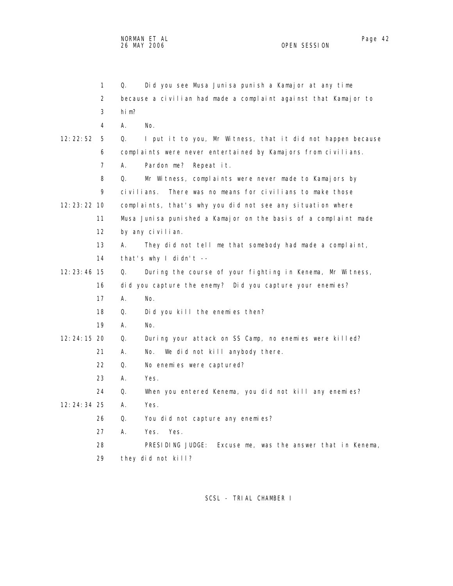|               | 1              | Did you see Musa Junisa punish a Kamajor at any time<br>Q.        |
|---------------|----------------|-------------------------------------------------------------------|
|               | $\overline{2}$ | because a civilian had made a complaint against that Kamajor to   |
|               | 3              | hi m?                                                             |
|               | 4              | Α.<br>No.                                                         |
| 12:22:52      | 5              | Q.<br>I put it to you, Mr Witness, that it did not happen because |
|               | 6              | complaints were never entertained by Kamajors from civilians.     |
|               | 7              | А.<br>Pardon me?<br>Repeat it.                                    |
|               | 8              | Mr Witness, complaints were never made to Kamajors by<br>0.       |
|               | 9              | There was no means for civilians to make those<br>civilians.      |
| $12:23:22$ 10 |                | complaints, that's why you did not see any situation where        |
|               | 11             | Musa Junisa punished a Kamajor on the basis of a complaint made   |
|               | 12             | by any civilian.                                                  |
|               | 13             | А.<br>They did not tell me that somebody had made a complaint,    |
|               | 14             | that's why I didn't --                                            |
| 12:23:46 15   |                | During the course of your fighting in Kenema, Mr Witness,<br>Q.   |
|               | 16             | did you capture the enemy? Did you capture your enemies?          |
|               | 17             | А.<br>No.                                                         |
|               | 18             | Did you kill the enemies then?<br>Q.                              |
|               | 19             | А.<br>No.                                                         |
| 12:24:15 20   |                | Q.<br>During your attack on SS Camp, no enemies were killed?      |
|               | 21             | А.<br>We did not kill anybody there.<br>No.                       |
|               | 22             | Q.<br>No enemies were captured?                                   |
|               | 23             | А.<br>Yes.                                                        |
|               | 24             | When you entered Kenema, you did not kill any enemies?<br>Q.      |
| 12:24:34 25   |                | А.<br>Yes.                                                        |
|               | 26             | Q.<br>You did not capture any enemies?                            |
|               | 27             | Α.<br>Yes.<br>Yes.                                                |
|               | 28             | PRESIDING JUDGE:<br>Excuse me, was the answer that in Kenema,     |
|               | 29             | they did not kill?                                                |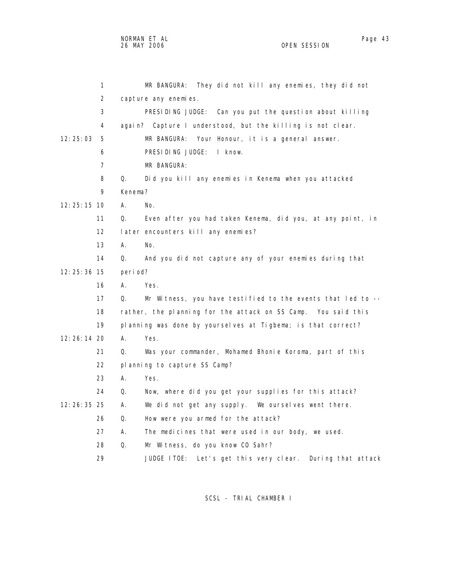1 MR BANGURA: They did not kill any enemies, they did not 2 capture any enemies. 3 PRESIDING JUDGE: Can you put the question about killing 4 again? Capture I understood, but the killing is not clear. 12:25:03 5 MR BANGURA: Your Honour, it is a general answer. 6 PRESIDING JUDGE: I know. 7 MR BANGURA: 8 Q. Did you kill any enemies in Kenema when you attacked 9 Kenema? 12:25:15 10 A. No. 11 Q. Even after you had taken Kenema, did you, at any point, in 12 later encounters kill any enemies? 13 A. No. 14 Q. And you did not capture any of your enemies during that 12:25:36 15 period? 16 A. Yes. 17 Q. Mr Witness, you have testified to the events that led to -- 18 rather, the planning for the attack on SS Camp. You said this 19 planning was done by yourselves at Tigbema; is that correct? 12:26:14 20 A. Yes. 21 Q. Was your commander, Mohamed Bhonie Koroma, part of this 22 planning to capture SS Camp? 23 A. Yes. 24 Q. Now, where did you get your supplies for this attack? 12:26:35 25 A. We did not get any supply. We ourselves went there. 26 Q. How were you armed for the attack? 27 A. The medicines that were used in our body, we used. 28 Q. Mr Witness, do you know CO Sahr? 29 JUDGE ITOE: Let's get this very clear. During that attack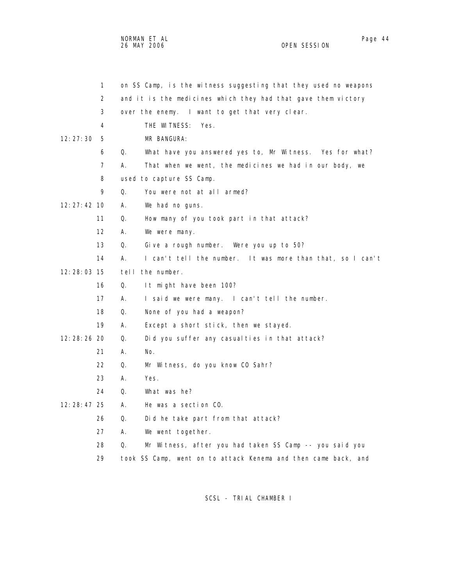NORMAN ET AL Page 44 and the set of the set of the set of the set of the set of the set of the set of the set o 26 MAY 2006 OPEN SESSION

|               | 1                 | on SS Camp, is the witness suggesting that they used no weapons  |
|---------------|-------------------|------------------------------------------------------------------|
|               | 2                 | and it is the medicines which they had that gave them victory    |
|               | 3                 | over the enemy. I want to get that very clear.                   |
|               | 4                 | THE WITNESS:<br>Yes.                                             |
| 12:27:30      | 5                 | MR BANGURA:                                                      |
|               | 6                 | Q.<br>What have you answered yes to, Mr Witness. Yes for what?   |
|               | $\overline{7}$    | А.<br>That when we went, the medicines we had in our body, we    |
|               | 8                 | used to capture SS Camp.                                         |
|               | 9                 | Q.<br>You were not at all armed?                                 |
| 12: 27: 42 10 |                   | А.<br>We had no guns.                                            |
|               | 11                | Q.<br>How many of you took part in that attack?                  |
|               | $12 \overline{ }$ | А.<br>We were many.                                              |
|               | 13                | Q.<br>Give a rough number. Were you up to 50?                    |
|               | 14                | I can't tell the number. It was more than that, so I can't<br>А. |
| 12:28:03 15   |                   | tell the number.                                                 |
|               | 16                | Q.<br>It might have been 100?                                    |
|               | 17                | А.<br>I said we were many. I can't tell the number.              |
|               | 18                | Q.<br>None of you had a weapon?                                  |
|               | 19                | А.<br>Except a short stick, then we stayed.                      |
| 12:28:26 20   |                   | Q.<br>Did you suffer any casualties in that attack?              |
|               | 21                | А.<br>No.                                                        |
|               | 22                | Q.<br>Mr Witness, do you know CO Sahr?                           |
|               | 23                | Yes.<br>А.                                                       |
|               | 24                | What was he?<br>Q.                                               |
| $12:28:47$ 25 |                   | А.<br>He was a section CO.                                       |
|               | 26                | Q.<br>Did he take part from that attack?                         |
|               | 27                | А.<br>We went together.                                          |
|               | 28                | Mr Witness, after you had taken SS Camp -- you said you<br>Q.    |
|               | 29                | took SS Camp, went on to attack Kenema and then came back, and   |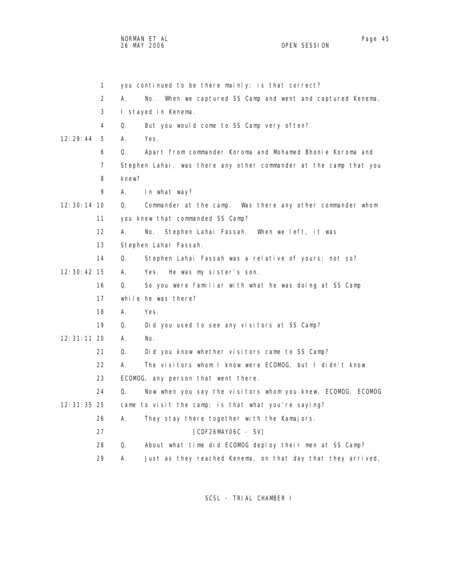| 1             | you continued to be there mainly; is that correct?                  |
|---------------|---------------------------------------------------------------------|
| 2             | А.<br>No.<br>When we captured SS Camp and went and captured Kenema, |
| 3             | I stayed in Kenema.                                                 |
| 4             | But you would come to SS Camp very often?<br>Q.                     |
| 12:29:44<br>5 | А.<br>Yes.                                                          |
| 6             | Apart from commander Koroma and Mohamed Bhonie Koroma and<br>Q.     |
| 7             | Stephen Lahai, was there any other commander at the camp that you   |
| 8             | knew?                                                               |
| 9             | Α.<br>In what way?                                                  |
| $12:30:14$ 10 | Q.<br>Commander at the camp. Was there any other commander whom     |
| 11            | you knew that commanded SS Camp?                                    |
| 12            | А.<br>No.<br>Stephen Lahai Fassah. When we left, it was             |
| 13            | Stephen Lahai Fassah.                                               |
| 14            | Q.<br>Stephen Lahai Fassah was a relative of yours; not so?         |
| 12: 30: 42 15 | А.<br>Yes. He was my sister's son.                                  |
| 16            | So you were familiar with what he was doing at SS Camp<br>Q.        |
| 17            | while he was there?                                                 |
| 18            | А.<br>Yes.                                                          |
| 19            | Did you used to see any visitors at SS Camp?<br>Q.                  |
| $12:31:11$ 20 | А.<br>No.                                                           |
| 21            | Q.<br>Did you know whether visitors came to SS Camp?                |
| 22            | А.<br>The visitors whom I know were ECOMOG, but I didn't know       |
| 23            | ECOMOG, any person that went there.                                 |
| 24            | Q.<br>Now when you say the visitors whom you knew, ECOMOG, ECOMOG   |
| 12: 31: 35 25 | came to visit the camp; is that what you're saying?                 |
| 26            | А.<br>They stay there together with the Kamajors.                   |
| 27            | [CDF26MAY06C - SV]                                                  |
| 28            | About what time did ECOMOG deploy their men at SS Camp?<br>Q.       |
| 29            | Just as they reached Kenema, on that day that they arrived,<br>А.   |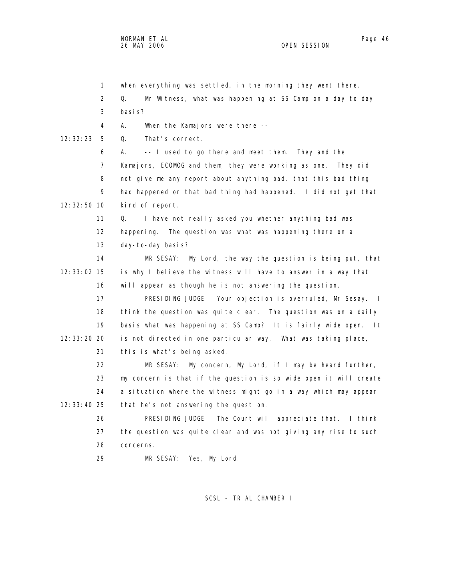1 when everything was settled, in the morning they went there. 2 Q. Mr Witness, what was happening at SS Camp on a day to day 3 basis? 4 A. When the Kamajors were there -- 12:32:23 5 Q. That's correct. 6 A. -- I used to go there and meet them. They and the 7 Kamajors, ECOMOG and them, they were working as one. They did 8 not give me any report about anything bad, that this bad thing 9 had happened or that bad thing had happened. I did not get that 12:32:50 10 kind of report. 11 Q. I have not really asked you whether anything bad was 12 happening. The question was what was happening there on a 13 day-to-day basis? 14 MR SESAY: My Lord, the way the question is being put, that 12:33:02 15 is why I believe the witness will have to answer in a way that 16 will appear as though he is not answering the question. 17 PRESIDING JUDGE: Your objection is overruled, Mr Sesay. I 18 think the question was quite clear. The question was on a daily 19 basis what was happening at SS Camp? It is fairly wide open. It 12:33:20 20 is not directed in one particular way. What was taking place, 21 this is what's being asked. 22 MR SESAY: My concern, My Lord, if I may be heard further, 23 my concern is that if the question is so wide open it will create 24 a situation where the witness might go in a way which may appear 12:33:40 25 that he's not answering the question. 26 PRESIDING JUDGE: The Court will appreciate that. I think 27 the question was quite clear and was not giving any rise to such 28 concerns. 29 MR SESAY: Yes, My Lord.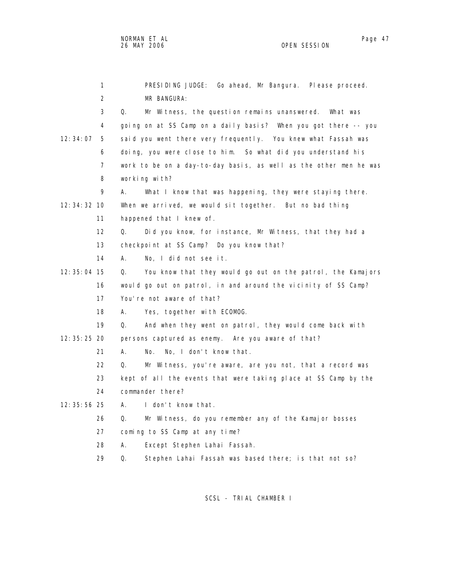1 PRESIDING JUDGE: Go ahead, Mr Bangura. Please proceed. 2 MR BANGURA: 3 Q. Mr Witness, the question remains unanswered. What was 4 going on at SS Camp on a daily basis? When you got there -- you 12:34:07 5 said you went there very frequently. You knew what Fassah was 6 doing, you were close to him. So what did you understand his 7 work to be on a day-to-day basis, as well as the other men he was 8 working with? 9 A. What I know that was happening, they were staying there. 12:34:32 10 When we arrived, we would sit together. But no bad thing 11 happened that I knew of. 12 Q. Did you know, for instance, Mr Witness, that they had a 13 checkpoint at SS Camp? Do you know that? 14 A. No, I did not see it. 12:35:04 15 Q. You know that they would go out on the patrol, the Kamajors 16 would go out on patrol, in and around the vicinity of SS Camp? 17 You're not aware of that? 18 A. Yes, together with ECOMOG. 19 Q. And when they went on patrol, they would come back with 12:35:25 20 persons captured as enemy. Are you aware of that? 21 A. No. No, I don't know that. 22 Q. Mr Witness, you're aware, are you not, that a record was 23 kept of all the events that were taking place at SS Camp by the 24 commander there? 12:35:56 25 A. I don't know that. 26 Q. Mr Witness, do you remember any of the Kamajor bosses 27 coming to SS Camp at any time? 28 A. Except Stephen Lahai Fassah. 29 Q. Stephen Lahai Fassah was based there; is that not so?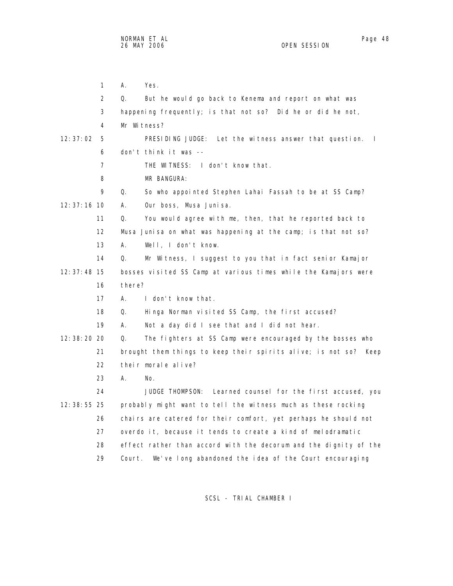1 A. Yes. 2 Q. But he would go back to Kenema and report on what was 3 happening frequently; is that not so? Did he or did he not, 4 Mr Witness? 12:37:02 5 PRESIDING JUDGE: Let the witness answer that question. I 6 don't think it was -- 7 THE WITNESS: I don't know that. 8 MR BANGURA: 9 Q. So who appointed Stephen Lahai Fassah to be at SS Camp? 12:37:16 10 A. Our boss, Musa Junisa. 11 Q. You would agree with me, then, that he reported back to 12 Musa Junisa on what was happening at the camp; is that not so? 13 A. Well, I don't know. 14 Q. Mr Witness, I suggest to you that in fact senior Kamajor 12:37:48 15 bosses visited SS Camp at various times while the Kamajors were 16 there? 17 A. I don't know that. 18 Q. Hinga Norman visited SS Camp, the first accused? 19 A. Not a day did I see that and I did not hear. 12:38:20 20 Q. The fighters at SS Camp were encouraged by the bosses who 21 brought them things to keep their spirits alive; is not so? Keep 22 their morale alive? 23 A. No. 24 JUDGE THOMPSON: Learned counsel for the first accused, you 12:38:55 25 probably might want to tell the witness much as these rocking 26 chairs are catered for their comfort, yet perhaps he should not 27 overdo it, because it tends to create a kind of melodramatic 28 effect rather than accord with the decorum and the dignity of the 29 Court. We've long abandoned the idea of the Court encouraging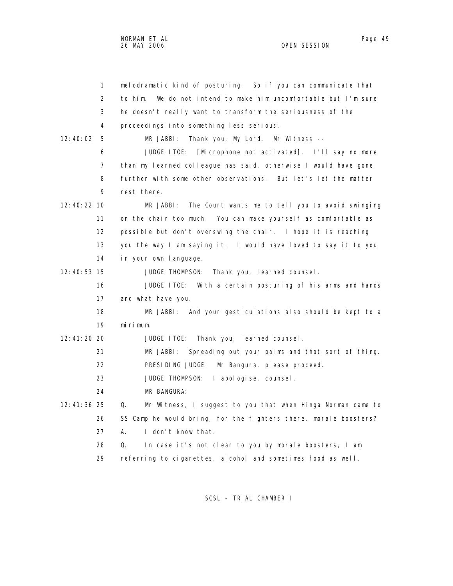1 melodramatic kind of posturing. So if you can communicate that 2 to him. We do not intend to make him uncomfortable but I'm sure 3 he doesn't really want to transform the seriousness of the 4 proceedings into something less serious. 12:40:02 5 MR JABBI: Thank you, My Lord. Mr Witness -- 6 JUDGE ITOE: [Microphone not activated]. I'll say no more 7 than my learned colleague has said, otherwise I would have gone 8 further with some other observations. But let's let the matter 12:40:22 10 MR JABBI: The Court wants me to tell you to avoid swinging 11 on the chair too much. You can make yourself as comfortable as 12 possible but don't overswing the chair. I hope it is reaching 13 you the way I am saying it. I would have loved to say it to you 14 in your own language.

12:40:53 15 JUDGE THOMPSON: Thank you, learned counsel.

 16 JUDGE ITOE: With a certain posturing of his arms and hands 17 and what have you.

 18 MR JABBI: And your gesticulations also should be kept to a 19 minimum.

12:41:20 20 JUDGE ITOE: Thank you, learned counsel.

21 MR JABBI: Spreading out your palms and that sort of thing.

- 22 PRESIDING JUDGE: Mr Bangura, please proceed.
- 23 JUDGE THOMPSON: I apologise, counsel.

24 MR BANGURA:

9 rest there.

 12:41:36 25 Q. Mr Witness, I suggest to you that when Hinga Norman came to 26 SS Camp he would bring, for the fighters there, morale boosters? 27 A. I don't know that.

28 Q. In case it's not clear to you by morale boosters, I am

29 referring to cigarettes, alcohol and sometimes food as well.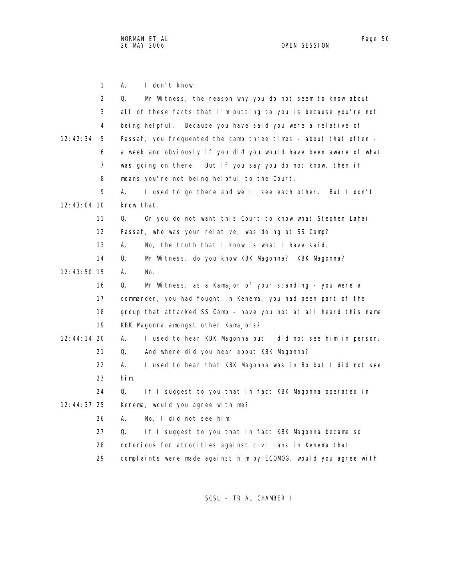1 A. I don't know. 2 Q. Mr Witness, the reason why you do not seem to know about 3 all of these facts that I'm putting to you is because you're not 4 being helpful. Because you have said you were a relative of 12:42:34 5 Fassah, you frequented the camp three times - about that often - 6 a week and obviously if you did you would have been aware of what 7 was going on there. But if you say you do not know, then it 8 means you're not being helpful to the Court. 9 A. I used to go there and we'll see each other. But I don't 12:43:04 10 know that. 11 Q. Or you do not want this Court to know what Stephen Lahai 12 Fassah, who was your relative, was doing at SS Camp? 13 A. No, the truth that I know is what I have said. 14 Q. Mr Witness, do you know KBK Magonna? KBK Magonna? 12:43:50 15 A. No. 16 Q. Mr Witness, as a Kamajor of your standing - you were a 17 commander, you had fought in Kenema, you had been part of the 18 group that attacked SS Camp - have you not at all heard this name 19 KBK Magonna amongst other Kamajors? 12:44:14 20 A. I used to hear KBK Magonna but I did not see him in person. 21 Q. And where did you hear about KBK Magonna? 22 A. I used to hear that KBK Magonna was in Bo but I did not see 23 him. 24 Q. If I suggest to you that in fact KBK Magonna operated in 12:44:37 25 Kenema, would you agree with me? 26 A. No, I did not see him. 27 Q. If I suggest to you that in fact KBK Magonna became so 28 notorious for atrocities against civilians in Kenema that 29 complaints were made against him by ECOMOG, would you agree with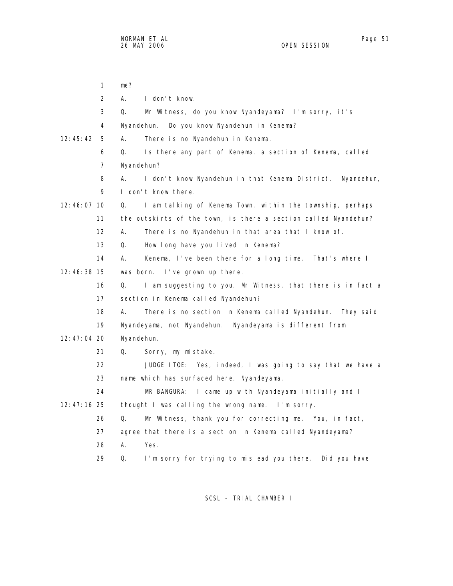1 me? 2 A. I don't know. 3 Q. Mr Witness, do you know Nyandeyama? I'm sorry, it's 4 Nyandehun. Do you know Nyandehun in Kenema? 12:45:42 5 A. There is no Nyandehun in Kenema. 6 Q. Is there any part of Kenema, a section of Kenema, called 7 Nyandehun? 8 A. I don't know Nyandehun in that Kenema District. Nyandehun, 9 I don't know there. 12:46:07 10 Q. I am talking of Kenema Town, within the township, perhaps 11 the outskirts of the town, is there a section called Nyandehun? 12 A. There is no Nyandehun in that area that I know of. 13 Q. How long have you lived in Kenema? 14 A. Kenema, I've been there for a long time. That's where I 12:46:38 15 was born. I've grown up there. 16 Q. I am suggesting to you, Mr Witness, that there is in fact a 17 section in Kenema called Nyandehun? 18 A. There is no section in Kenema called Nyandehun. They said 19 Nyandeyama, not Nyandehun. Nyandeyama is different from 12:47:04 20 Nyandehun. 21 Q. Sorry, my mistake. 22 JUDGE ITOE: Yes, indeed, I was going to say that we have a 23 name which has surfaced here, Nyandeyama. 24 MR BANGURA: I came up with Nyandeyama initially and I 12:47:16 25 thought I was calling the wrong name. I'm sorry. 26 Q. Mr Witness, thank you for correcting me. You, in fact, 27 agree that there is a section in Kenema called Nyandeyama? 28 A. Yes. 29 Q. I'm sorry for trying to mislead you there. Did you have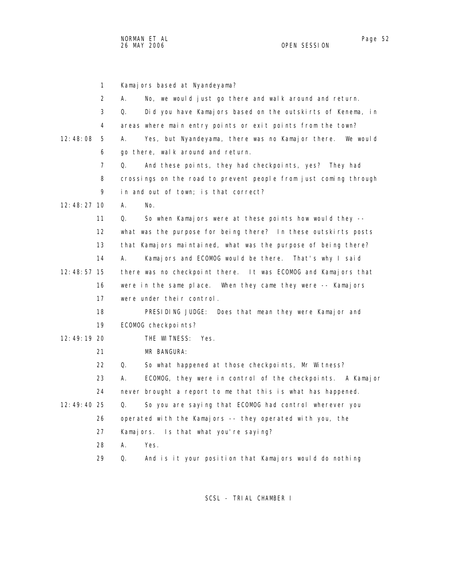|             | $\mathbf{1}$   | Kamajors based at Nyandeyama?                                      |
|-------------|----------------|--------------------------------------------------------------------|
|             | $\overline{2}$ | No, we would just go there and walk around and return.<br>А.       |
|             | 3              | Q.<br>Did you have Kamajors based on the outskirts of Kenema, in   |
|             | 4              | areas where main entry points or exit points from the town?        |
| 12:48:08    | 5              | Α.<br>Yes, but Nyandeyama, there was no Kamajor there.<br>We would |
|             | 6              | go there, walk around and return.                                  |
|             | $\overline{7}$ | Q.<br>And these points, they had checkpoints, yes? They had        |
|             | 8              | crossings on the road to prevent people from just coming through   |
|             | 9              | in and out of town; is that correct?                               |
| 12:48:27 10 |                | А.<br>No.                                                          |
|             | 11             | So when Kamajors were at these points how would they --<br>Q.      |
|             | 12             | what was the purpose for being there? In these outskirts posts     |
|             | 13             | that Kamajors maintained, what was the purpose of being there?     |
|             | 14             | А.<br>Kamajors and ECOMOG would be there. That's why I said        |
| 12:48:57 15 |                | there was no checkpoint there. It was ECOMOG and Kamajors that     |
|             | 16             | were in the same place. When they came they were -- Kamajors       |
|             | 17             | were under their control.                                          |
|             | 18             | PRESIDING JUDGE:<br>Does that mean they were Kamajor and           |
|             | 19             | ECOMOG checkpoints?                                                |
| 12:49:19 20 |                | THE WITNESS:<br>Yes.                                               |
|             | 21             | MR BANGURA:                                                        |
|             | 22             | Q.<br>So what happened at those checkpoints, Mr Witness?           |
|             | 23             | ECOMOG, they were in control of the checkpoints. A Kamajor<br>А.   |
|             | 24             | never brought a report to me that this is what has happened.       |
| 12:49:40 25 |                | Q.<br>So you are saying that ECOMOG had control wherever you       |
|             | 26             | operated with the Kamajors -- they operated with you, the          |
|             | 27             | Kamajors. Is that what you're saying?                              |
|             | 28             | А.<br>Yes.                                                         |
|             | 29             | And is it your position that Kamajors would do nothing<br>Q.       |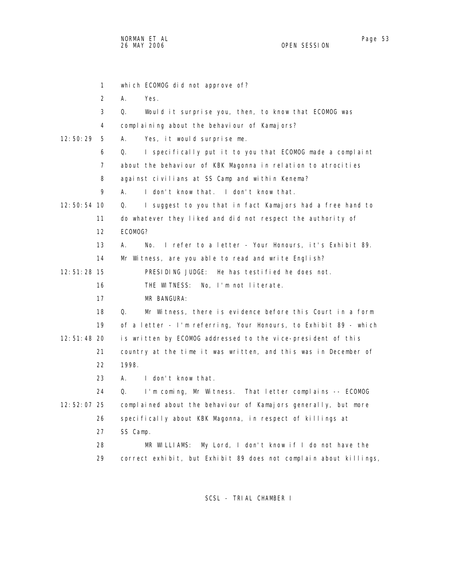1 which ECOMOG did not approve of? 2 A. Yes. 3 Q. Would it surprise you, then, to know that ECOMOG was 4 complaining about the behaviour of Kamajors? 12:50:29 5 A. Yes, it would surprise me. 6 Q. I specifically put it to you that ECOMOG made a complaint 7 about the behaviour of KBK Magonna in relation to atrocities 8 against civilians at SS Camp and within Kenema? 9 A. I don't know that. I don't know that. 12:50:54 10 Q. I suggest to you that in fact Kamajors had a free hand to 11 do whatever they liked and did not respect the authority of 12 ECOMOG? 13 A. No. I refer to a letter - Your Honours, it's Exhibit 89. 14 Mr Witness, are you able to read and write English? 12:51:28 15 PRESIDING JUDGE: He has testified he does not. 16 THE WITNESS: No, I'm not literate. 17 MR BANGURA: 18 Q. Mr Witness, there is evidence before this Court in a form 19 of a letter - I'm referring, Your Honours, to Exhibit 89 - which 12:51:48 20 is written by ECOMOG addressed to the vice-president of this 21 country at the time it was written, and this was in December of 22 1998. 23 A. I don't know that. 24 Q. I'm coming, Mr Witness. That letter complains -- ECOMOG 12:52:07 25 complained about the behaviour of Kamajors generally, but more 26 specifically about KBK Magonna, in respect of killings at 27 SS Camp. 28 MR WILLIAMS: My Lord, I don't know if I do not have the 29 correct exhibit, but Exhibit 89 does not complain about killings,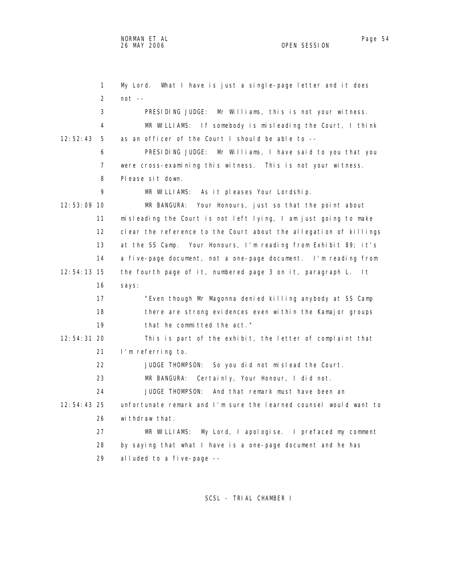1 My Lord. What I have is just a single-page letter and it does 2 not -- 3 PRESIDING JUDGE: Mr Williams, this is not your witness. 4 MR WILLIAMS: If somebody is misleading the Court, I think 12:52:43 5 as an officer of the Court I should be able to -- 6 PRESIDING JUDGE: Mr Williams, I have said to you that you 7 were cross-examining this witness. This is not your witness. 8 Please sit down. 9 MR WILLIAMS: As it pleases Your Lordship. 12:53:09 10 MR BANGURA: Your Honours, just so that the point about 11 misleading the Court is not left lying, I am just going to make 12 clear the reference to the Court about the allegation of killings 13 at the SS Camp. Your Honours, I'm reading from Exhibit 89; it's 14 a five-page document, not a one-page document. I'm reading from 12:54:13 15 the fourth page of it, numbered page 3 on it, paragraph L. It 16 says: 17 "Even though Mr Magonna denied killing anybody at SS Camp 18 there are strong evidences even within the Kamajor groups 19 that he committed the act." 12:54:31 20 This is part of the exhibit, the letter of complaint that 21 I'm referring to. 22 JUDGE THOMPSON: So you did not mislead the Court. 23 MR BANGURA: Certainly, Your Honour, I did not. 24 JUDGE THOMPSON: And that remark must have been an 12:54:43 25 unfortunate remark and I'm sure the learned counsel would want to 26 withdraw that. 27 MR WILLIAMS: My Lord, I apologise. I prefaced my comment 28 by saying that what I have is a one-page document and he has 29 alluded to a five-page --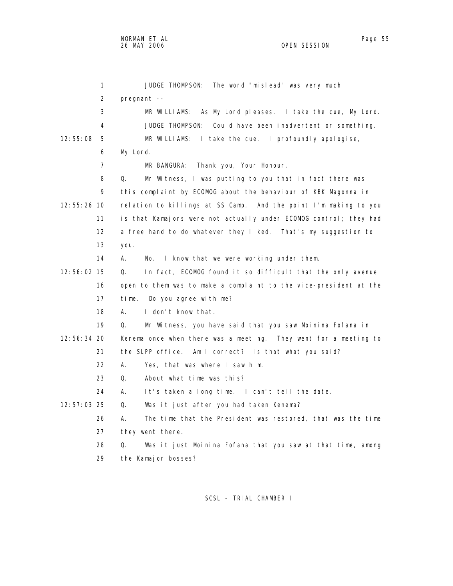1 JUDGE THOMPSON: The word "mislead" was very much 2 pregnant -- 3 MR WILLIAMS: As My Lord pleases. I take the cue, My Lord. 4 JUDGE THOMPSON: Could have been inadvertent or something. 12:55:08 5 MR WILLIAMS: I take the cue. I profoundly apologise, 6 My Lord. 7 MR BANGURA: Thank you, Your Honour. 8 Q. Mr Witness, I was putting to you that in fact there was 9 this complaint by ECOMOG about the behaviour of KBK Magonna in 12:55:26 10 relation to killings at SS Camp. And the point I'm making to you 11 is that Kamajors were not actually under ECOMOG control; they had 12 a free hand to do whatever they liked. That's my suggestion to 13 you. 14 A. No. I know that we were working under them. 12:56:02 15 Q. In fact, ECOMOG found it so difficult that the only avenue 16 open to them was to make a complaint to the vice-president at the 17 time. Do you agree with me? 18 A. I don't know that. 19 Q. Mr Witness, you have said that you saw Moinina Fofana in 12:56:34 20 Kenema once when there was a meeting. They went for a meeting to 21 the SLPP office. Am I correct? Is that what you said? 22 A. Yes, that was where I saw him. 23 Q. About what time was this? 24 A. It's taken a long time. I can't tell the date. 12:57:03 25 Q. Was it just after you had taken Kenema? 26 A. The time that the President was restored, that was the time 27 they went there. 28 Q. Was it just Moinina Fofana that you saw at that time, among

29 the Kamajor bosses?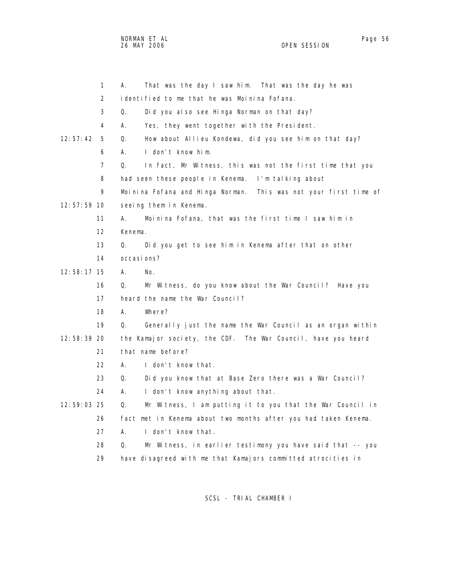NORMAN ET AL Page 56 and the set of the set of the set of the set of the set of the set of the set of the set o 26 MAY 2006 OPEN SESSION

|               | 1              | Α.          | That was the day I saw him. That was the day he was              |
|---------------|----------------|-------------|------------------------------------------------------------------|
|               | $\overline{2}$ |             | identified to me that he was Moinina Fofana.                     |
|               | 3              | Q.          | Did you also see Hinga Norman on that day?                       |
|               | 4              | А.          | Yes, they went together with the President.                      |
| 12:57:42      | 5              | Q.          | How about Allieu Kondewa, did you see him on that day?           |
|               | 6              | А.          | I don't know him.                                                |
|               | $\overline{7}$ | Q.          | In fact, Mr Witness, this was not the first time that you        |
|               | 8              |             | had seen these people in Kenema. I'm talking about               |
|               | 9              |             | Moinina Fofana and Hinga Norman. This was not your first time of |
| $12:57:59$ 10 |                |             | seeing them in Kenema.                                           |
|               | 11             | А.          | Moinina Fofana, that was the first time I saw him in             |
|               | 12             | Kenema.     |                                                                  |
|               | 13             | Q.          | Did you get to see him in Kenema after that on other             |
|               | 14             | occasi ons? |                                                                  |
| 12:58:17 15   |                | А.<br>No.   |                                                                  |
|               | 16             | Q.          | Mr Witness, do you know about the War Council? Have you          |
|               | 17             |             | heard the name the War Council?                                  |
|               | 18             | А.          | Where?                                                           |
|               | 19             | Q.          | Generally just the name the War Council as an organ within       |
| 12:58:39 20   |                |             | the Kamajor society, the CDF. The War Council, have you heard    |
|               | 21             |             | that name before?                                                |
|               | 22             | А.          | I don't know that.                                               |
|               | 23             | Q.          | Did you know that at Base Zero there was a War Council?          |
|               | 24             | А.          | I don't know anything about that.                                |
| 12:59:03 25   |                | Q.          | Mr Witness, I am putting it to you that the War Council in       |
|               | 26             |             | fact met in Kenema about two months after you had taken Kenema.  |
|               | 27             | А.          | I don't know that.                                               |
|               | 28             | Q.          | Mr Witness, in earlier testimony you have said that -- you       |
|               | 29             |             | have disagreed with me that Kamajors committed atrocities in     |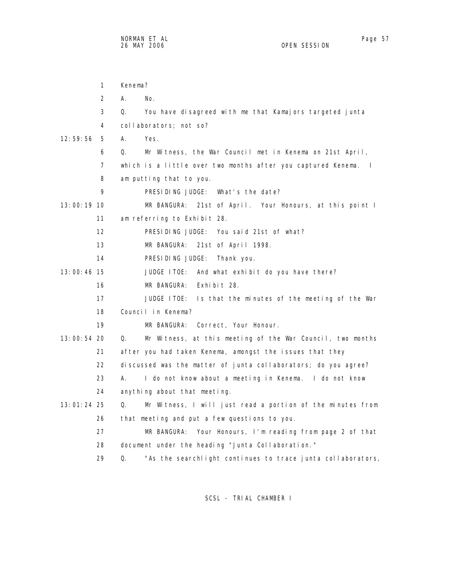1 Kenema?

|               | $\overline{2}$    | А. | No.                                                                          |
|---------------|-------------------|----|------------------------------------------------------------------------------|
|               | 3                 | Q. | You have disagreed with me that Kamajors targeted junta                      |
|               | 4                 |    | collaborators; not so?                                                       |
| 12:59:56      | 5                 | А. | Yes.                                                                         |
|               | 6                 | Q. | Mr Witness, the War Council met in Kenema on 21st April,                     |
|               | 7                 |    | which is a little over two months after you captured Kenema.<br>$\mathbf{I}$ |
|               | 8                 |    | am putting that to you.                                                      |
|               | 9                 |    | PRESIDING JUDGE: What's the date?                                            |
| 13:00:19 10   |                   |    | MR BANGURA: 21st of April. Your Honours, at this point I                     |
|               | 11                |    | am referring to Exhibit 28.                                                  |
|               | $12 \overline{ }$ |    | PRESIDING JUDGE: You said 21st of what?                                      |
|               |                   |    |                                                                              |
|               | 13                |    | MR BANGURA: 21st of April 1998.                                              |
|               | 14                |    | PRESIDING JUDGE:<br>Thank you.                                               |
| $13:00:46$ 15 |                   |    | JUDGE ITOE: And what exhibit do you have there?                              |
|               | 16                |    | MR BANGURA:<br>Exhibit 28.                                                   |
|               | 17                |    | JUDGE ITOE: Is that the minutes of the meeting of the War                    |
|               | 18                |    | Council in Kenema?                                                           |
|               | 19                |    | MR BANGURA:<br>Correct, Your Honour.                                         |
| 13:00:54 20   |                   | Q. | Mr Witness, at this meeting of the War Council, two months                   |
|               | 21                |    | after you had taken Kenema, amongst the issues that they                     |
|               | 22                |    | discussed was the matter of junta collaborators; do you agree?               |
|               | 23                | А. | I do not know about a meeting in Kenema. I do not know                       |
|               | 24                |    | anything about that meeting.                                                 |
| $13:01:24$ 25 |                   | Q. | Mr Witness, I will just read a portion of the minutes from                   |
|               | 26                |    | that meeting and put a few questions to you.                                 |
|               | 27                |    | MR BANGURA:<br>Your Honours, I'm reading from page 2 of that                 |
|               | 28                |    | document under the heading "Junta Collaboration."                            |
|               |                   |    |                                                                              |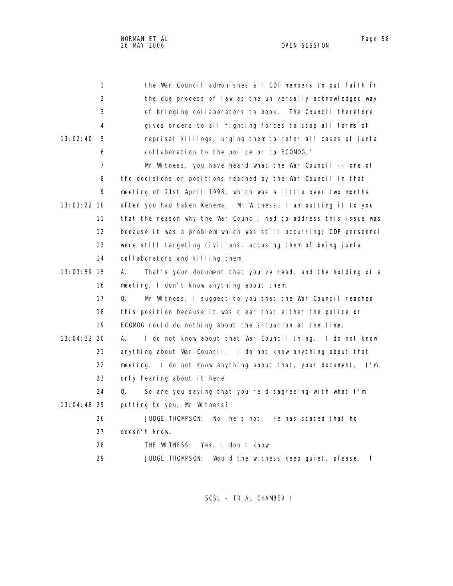| 1              | the War Council admonishes all CDF members to put faith in           |
|----------------|----------------------------------------------------------------------|
| 2              | the due process of I aw as the universally acknowledged way          |
| 3              | of bringing collaborators to book. The Council therefore             |
| 4              | gives orders to all fighting forces to stop all forms of             |
| 13:02:40<br>5  | reprisal killings, urging them to refer all cases of junta           |
| 6              | collaboration to the police or to ECOMOG."                           |
| $\overline{7}$ | Mr Witness, you have heard what the War Council -- one of            |
| 8              | the decisions or positions reached by the War Council in that        |
| 9              | meeting of 21st April 1998, which was a little over two months       |
| 13:03:22 10    | after you had taken Kenema. Mr Witness, I am putting it to you       |
| 11             | that the reason why the War Council had to address this issue was    |
| 12             | because it was a problem which was still occurring; CDF personnel    |
| 13             | were still targeting civilians, accusing them of being junta         |
| 14             | collaborators and killing them.                                      |
| 13:03:59 15    | That's your document that you've read, and the holding of a<br>А.    |
| 16             | meeting, I don't know anything about them.                           |
| 17             | Q.<br>Mr Witness, I suggest to you that the War Council reached      |
| 18             | this position because it was clear that either the police or         |
| 19             | ECOMOG could do nothing about the situation at the time.             |
| 13:04:32 20    | А.<br>I do not know about that War Council thing. I do not know      |
| 21             | anything about War Council. I do not know anything about that        |
| 22             | meeting. I do not know anything about that, your document. I'm       |
| 23             | only hearing about it here.                                          |
| 24             | So are you saying that you're disagreeing with what I'm<br>Q.        |
| 13:04:48 25    | putting to you, Mr Witness?                                          |
| 26             | JUDGE THOMPSON:<br>No, he's not. He has stated that he               |
| 27             | doesn't know.                                                        |
| 28             | THE WITNESS:<br>Yes, I don't know.                                   |
| 29             | <b>JUDGE THOMPSON:</b><br>Would the witness keep quiet, please.<br>T |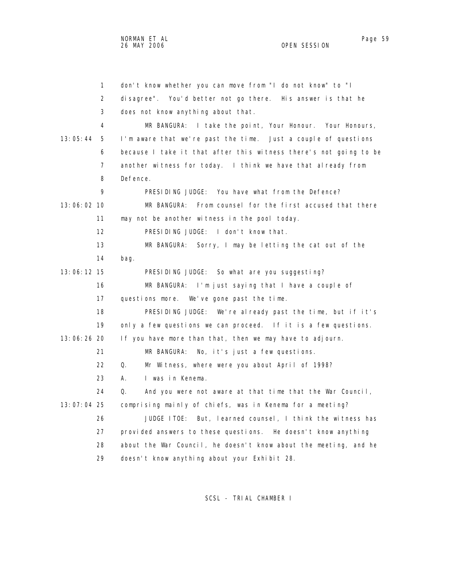1 don't know whether you can move from "I do not know" to "I 2 disagree". You'd better not go there. His answer is that he 3 does not know anything about that. 4 MR BANGURA: I take the point, Your Honour. Your Honours, 13:05:44 5 I'm aware that we're past the time. Just a couple of questions 6 because I take it that after this witness there's not going to be 7 another witness for today. I think we have that already from 8 Defence. 9 PRESIDING JUDGE: You have what from the Defence? 13:06:02 10 MR BANGURA: From counsel for the first accused that there 11 may not be another witness in the pool today. 12 PRESIDING JUDGE: I don't know that. 13 MR BANGURA: Sorry, I may be letting the cat out of the 14 bag. 13:06:12 15 PRESIDING JUDGE: So what are you suggesting? 16 MR BANGURA: I'm just saying that I have a couple of 17 questions more. We've gone past the time. 18 PRESIDING JUDGE: We're already past the time, but if it's 19 only a few questions we can proceed. If it is a few questions. 13:06:26 20 If you have more than that, then we may have to adjourn. 21 MR BANGURA: No, it's just a few questions. 22 Q. Mr Witness, where were you about April of 1998? 23 A. I was in Kenema. 24 Q. And you were not aware at that time that the War Council, 13:07:04 25 comprising mainly of chiefs, was in Kenema for a meeting? 26 JUDGE ITOE: But, learned counsel, I think the witness has 27 provided answers to these questions. He doesn't know anything 28 about the War Council, he doesn't know about the meeting, and he 29 doesn't know anything about your Exhibit 28.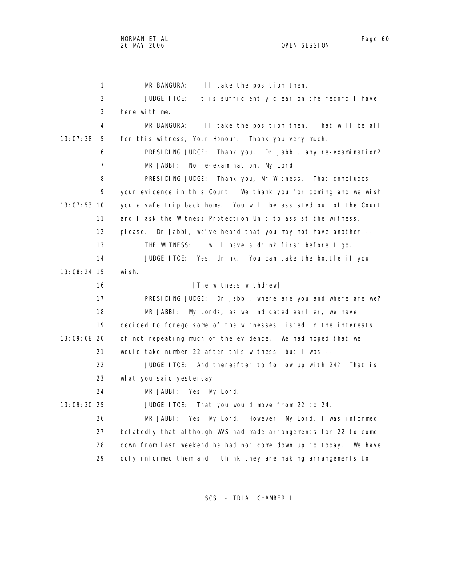1 MR BANGURA: I'll take the position then. 2 JUDGE ITOE: It is sufficiently clear on the record I have 3 here with me. 4 MR BANGURA: I'll take the position then. That will be all 13:07:38 5 for this witness, Your Honour. Thank you very much. 6 PRESIDING JUDGE: Thank you. Dr Jabbi, any re-examination? 7 MR JABBI: No re-examination, My Lord. 8 PRESIDING JUDGE: Thank you, Mr Witness. That concludes 9 your evidence in this Court. We thank you for coming and we wish 13:07:53 10 you a safe trip back home. You will be assisted out of the Court 11 and I ask the Witness Protection Unit to assist the witness, 12 please. Dr Jabbi, we've heard that you may not have another -- 13 THE WITNESS: I will have a drink first before I go. 14 JUDGE ITOE: Yes, drink. You can take the bottle if you 13:08:24 15 wish. 16 [The witness withdrew] 17 PRESIDING JUDGE: Dr Jabbi, where are you and where are we? 18 MR JABBI: My Lords, as we indicated earlier, we have 19 decided to forego some of the witnesses listed in the interests 13:09:08 20 of not repeating much of the evidence. We had hoped that we 21 would take number 22 after this witness, but I was -- 22 JUDGE ITOE: And thereafter to follow up with 24? That is 23 what you said yesterday. 24 MR JABBI: Yes, My Lord. 13:09:30 25 JUDGE ITOE: That you would move from 22 to 24. 26 MR JABBI: Yes, My Lord. However, My Lord, I was informed 27 belatedly that although WVS had made arrangements for 22 to come 28 down from last weekend he had not come down up to today. We have

SCSL - TRIAL CHAMBER I

29 duly informed them and I think they are making arrangements to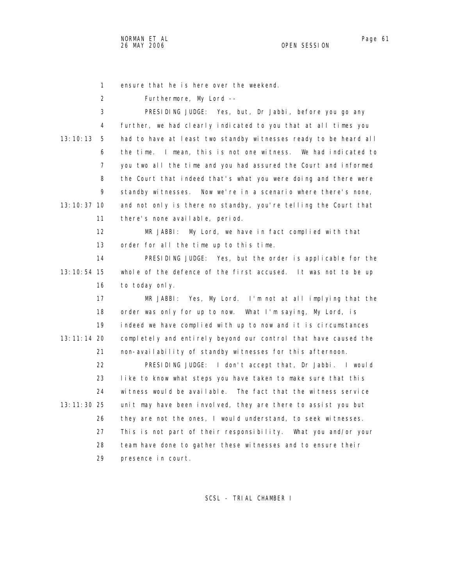1 ensure that he is here over the weekend.

2 Furthermore, My Lord --

 3 PRESIDING JUDGE: Yes, but, Dr Jabbi, before you go any 4 further, we had clearly indicated to you that at all times you 13:10:13 5 had to have at least two standby witnesses ready to be heard all 6 the time. I mean, this is not one witness. We had indicated to 7 you two all the time and you had assured the Court and informed 8 the Court that indeed that's what you were doing and there were 9 standby witnesses. Now we're in a scenario where there's none, 13:10:37 10 and not only is there no standby, you're telling the Court that 11 there's none available, period.

> 12 MR JABBI: My Lord, we have in fact complied with that 13 order for all the time up to this time.

 14 PRESIDING JUDGE: Yes, but the order is applicable for the 13:10:54 15 whole of the defence of the first accused. It was not to be up 16 to today only.

 17 MR JABBI: Yes, My Lord. I'm not at all implying that the 18 order was only for up to now. What I'm saying, My Lord, is 19 indeed we have complied with up to now and it is circumstances 13:11:14 20 completely and entirely beyond our control that have caused the 21 non-availability of standby witnesses for this afternoon.

 22 PRESIDING JUDGE: I don't accept that, Dr Jabbi. I would 23 like to know what steps you have taken to make sure that this 24 witness would be available. The fact that the witness service 13:11:30 25 unit may have been involved, they are there to assist you but 26 they are not the ones, I would understand, to seek witnesses. 27 This is not part of their responsibility. What you and/or your 28 team have done to gather these witnesses and to ensure their 29 presence in court.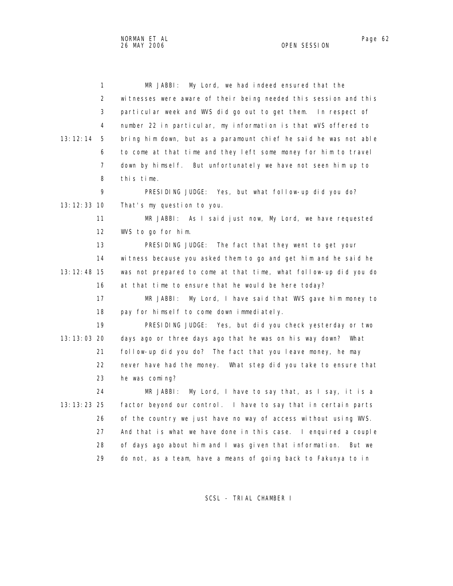NORMAN ET AL Page 62 and the state of the state of the state of the state of the state of the state of the state of the state of the state of the state of the state of the state of the state of the state of the state of th 26 MAY 2006 OPEN SESSION

| 1               | My Lord, we had indeed ensured that the<br>MR JABBI:              |
|-----------------|-------------------------------------------------------------------|
| $\overline{2}$  | witnesses were aware of their being needed this session and this  |
| 3               | particular week and WVS did go out to get them. In respect of     |
| 4               | number 22 in particular, my information is that wVS offered to    |
| 13:12:14<br>5   | bring him down, but as a paramount chief he said he was not able  |
| 6               | to come at that time and they left some money for him to travel   |
| $\overline{7}$  | down by himself. But unfortunately we have not seen him up to     |
| 8               | this time.                                                        |
| 9               | PRESIDING JUDGE: Yes, but what follow-up did you do?              |
| 13: 12: 33 10   | That's my question to you.                                        |
| 11              | MR JABBI: As I said just now, My Lord, we have requested          |
| 12 <sup>2</sup> | WVS to go for him.                                                |
| 13              | PRESIDING JUDGE:<br>The fact that they went to get your           |
| 14              | witness because you asked them to go and get him and he said he   |
| 13: 12: 48 15   | was not prepared to come at that time, what follow-up did you do  |
| 16              | at that time to ensure that he would be here today?               |
| 17              | My Lord, I have said that WVS gave him money to<br>MR JABBI:      |
| 18              | pay for himself to come down immediately.                         |
| 19              | PRESIDING JUDGE: Yes, but did you check yesterday or two          |
| 13: 13: 03 20   | days ago or three days ago that he was on his way down? What      |
| 21              | follow-up did you do? The fact that you leave money, he may       |
| 22              | never have had the money. What step did you take to ensure that   |
| 23              | he was coming?                                                    |
| 24              | My Lord, I have to say that, as I say, it is a<br>MR JABBI:       |
| 13: 13: 23 25   | factor beyond our control. I have to say that in certain parts    |
| 26              | of the country we just have no way of access without using WVS.   |
| 27              | And that is what we have done in this case. I enquired a couple   |
| 28              | of days ago about him and I was given that information.<br>But we |
| 29              | do not, as a team, have a means of going back to Fakunya to in    |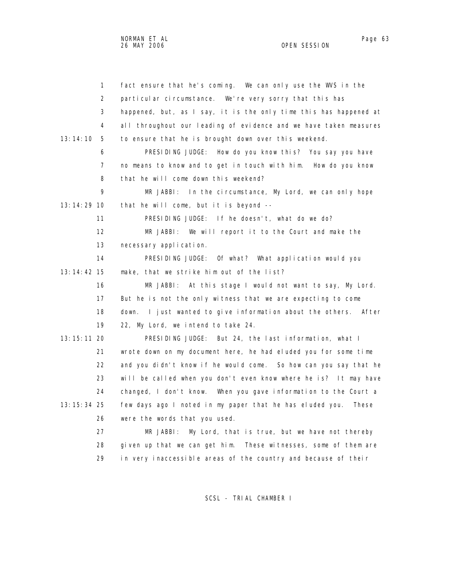| $\mathbf{1}$  | fact ensure that he's coming. We can only use the WVS in the       |
|---------------|--------------------------------------------------------------------|
| 2             | particular circumstance. We're very sorry that this has            |
| 3             | happened, but, as I say, it is the only time this has happened at  |
| 4             | all throughout our leading of evidence and we have taken measures  |
| 13:14:10<br>5 | to ensure that he is brought down over this weekend.               |
| 6             | PRESIDING JUDGE: How do you know this? You say you have            |
| 7             | no means to know and to get in touch with him. How do you know     |
| 8             | that he will come down this weekend?                               |
| 9             | MR JABBI: In the circumstance, My Lord, we can only hope           |
| 13:14:29 10   | that he will come, but it is beyond --                             |
| 11            | PRESIDING JUDGE: If he doesn't, what do we do?                     |
| 12            | MR JABBI: We will report it to the Court and make the              |
| 13            | necessary application.                                             |
| 14            | PRESIDING JUDGE: Of what? What application would you               |
| 13:14:42 15   | make, that we strike him out of the list?                          |
| 16            | MR JABBI: At this stage I would not want to say, My Lord.          |
| 17            | But he is not the only witness that we are expecting to come       |
| 18            | I just wanted to give information about the others. After<br>down. |
| 19            | 22, My Lord, we intend to take 24.                                 |
| 13: 15: 11 20 | PRESIDING JUDGE: But 24, the last information, what I              |
| 21            | wrote down on my document here, he had eluded you for some time    |
| 22            | and you didn't know if he would come. So how can you say that he   |
| 23            | will be called when you don't even know where he is? It may have   |
| 24            | changed, I don't know. When you gave information to the Court a    |
| 13: 15: 34 25 | few days ago I noted in my paper that he has eluded you.<br>These  |
| 26            | were the words that you used.                                      |
| 27            | My Lord, that is true, but we have not thereby<br>MR JABBI:        |
| 28            | given up that we can get him. These witnesses, some of them are    |
| 29            | in very inaccessible areas of the country and because of their     |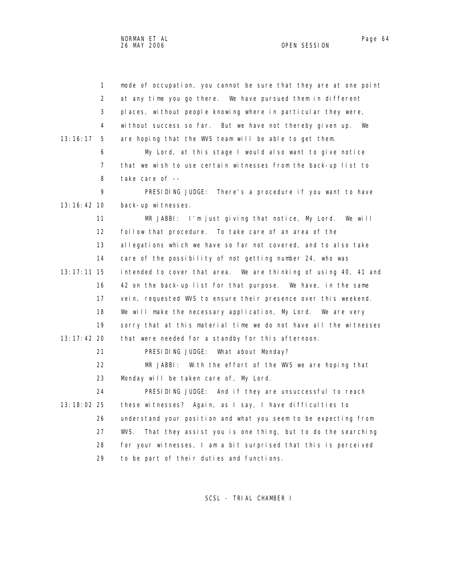1 mode of occupation, you cannot be sure that they are at one point 2 at any time you go there. We have pursued them in different 3 places, without people knowing where in particular they were, 4 without success so far. But we have not thereby given up. We 13:16:17 5 are hoping that the WVS team will be able to get them. 6 My Lord, at this stage I would also want to give notice 7 that we wish to use certain witnesses from the back-up list to 8 take care of -- 9 PRESIDING JUDGE: There's a procedure if you want to have 13:16:42 10 back-up witnesses. 11 MR JABBI: I'm just giving that notice, My Lord. We will 12 follow that procedure. To take care of an area of the 13 allegations which we have so far not covered, and to also take 14 care of the possibility of not getting number 24, who was 13:17:11 15 intended to cover that area. We are thinking of using 40, 41 and 16 42 on the back-up list for that purpose. We have, in the same 17 vein, requested WVS to ensure their presence over this weekend. 18 We will make the necessary application, My Lord. We are very 19 sorry that at this material time we do not have all the witnesses 13:17:42 20 that were needed for a standby for this afternoon. 21 PRESIDING JUDGE: What about Monday? 22 MR JABBI: With the effort of the WVS we are hoping that 23 Monday will be taken care of, My Lord. 24 PRESIDING JUDGE: And if they are unsuccessful to reach 13:18:02 25 these witnesses? Again, as I say, I have difficulties to 26 understand your position and what you seem to be expecting from 27 WVS. That they assist you is one thing, but to do the searching 28 for your witnesses, I am a bit surprised that this is perceived 29 to be part of their duties and functions.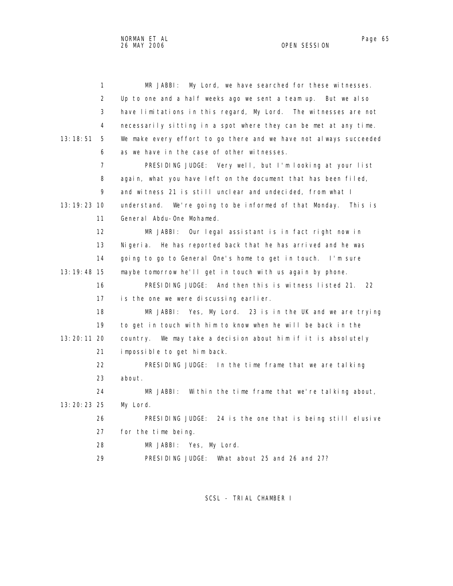| 1              | My Lord, we have searched for these witnesses.<br>MR JABBI:       |
|----------------|-------------------------------------------------------------------|
| 2              | Up to one and a half weeks ago we sent a team up. But we also     |
| 3              | have limitations in this regard, My Lord. The witnesses are not   |
| 4              | necessarily sitting in a spot where they can be met at any time.  |
| 13:18:51<br>5  | We make every effort to go there and we have not always succeeded |
| 6              | as we have in the case of other witnesses.                        |
| $\overline{7}$ | PRESIDING JUDGE: Very well, but I'm looking at your list          |
| 8              | again, what you have left on the document that has been filed,    |
| 9              | and witness 21 is still unclear and undecided, from what I        |
| 13:19:23 10    | understand. We're going to be informed of that Monday. This is    |
| 11             | General Abdu-One Mohamed.                                         |
| 12             | MR JABBI:<br>Our legal assistant is in fact right now in          |
| 13             | Nigeria. He has reported back that he has arrived and he was      |
| 14             | going to go to General One's home to get in touch. I'm sure       |
| 13:19:48 15    | maybe tomorrow he'll get in touch with us again by phone.         |
| 16             | PRESIDING JUDGE: And then this is witness listed 21.<br>22        |
| 17             | is the one we were discussing earlier.                            |
| 18             | MR JABBI:<br>Yes, My Lord. 23 is in the UK and we are trying      |
| 19             | to get in touch with him to know when he will be back in the      |
| 13:20:11 20    | country. We may take a decision about him if it is absolutely     |
| 21             | impossible to get him back.                                       |
| 22             | PRESIDING JUDGE: In the time frame that we are talking            |
| 23             | about.                                                            |
| 24             | MR JABBI: Within the time frame that we're talking about,         |
| 13:20:23 25    | My Lord.                                                          |
| 26             | PRESIDING JUDGE: 24 is the one that is being still elusive        |
| 27             | for the time being.                                               |
| 28             | MR JABBI: Yes, My Lord.                                           |
| 29             | PRESIDING JUDGE:<br>What about 25 and 26 and 27?                  |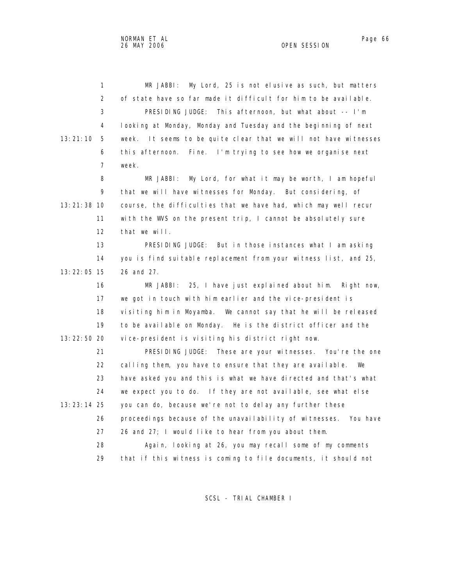| $\mathbf{1}$   | My Lord, 25 is not elusive as such, but matters<br>MR JABBI:        |
|----------------|---------------------------------------------------------------------|
| 2              | of state have so far made it difficult for him to be available.     |
| 3              | PRESIDING JUDGE: This afternoon, but what about -- I'm              |
| 4              | looking at Monday, Monday and Tuesday and the beginning of next     |
| 13:21:10<br>5  | week. It seems to be quite clear that we will not have witnesses    |
| 6              | Fine. I'm trying to see how we organise next<br>this afternoon.     |
| $\overline{7}$ | week.                                                               |
| 8              | MR JABBI: My Lord, for what it may be worth, I am hopeful           |
| 9              | that we will have witnesses for Monday. But considering, of         |
| 13:21:38 10    | course, the difficulties that we have had, which may well recur     |
| 11             | with the WVS on the present trip, I cannot be absolutely sure       |
| 12             | that we will.                                                       |
| 13             | PRESIDING JUDGE: But in those instances what I am asking            |
| 14             | you is find suitable replacement from your witness list, and 25,    |
| 13:22:05 15    | 26 and 27.                                                          |
| 16             | MR JABBI: 25, I have just explained about him. Right now,           |
| 17             | we got in touch with him earlier and the vice-president is          |
| 18             | visiting him in Moyamba. We cannot say that he will be released     |
| 19             | to be available on Monday. He is the district officer and the       |
| 13:22:50 20    | vice-president is visiting his district right now.                  |
| 21             | PRESIDING JUDGE: These are your witnesses. You're the one           |
| 22             | calling them, you have to ensure that they are available.<br>We     |
| 23             | have asked you and this is what we have directed and that's what    |
| 24             | we expect you to do. If they are not available, see what else       |
| 13:23:14 25    | you can do, because we're not to delay any further these            |
| 26             | proceedings because of the unavailability of witnesses.<br>You have |
| 27             | 26 and 27; I would like to hear from you about them.                |
| 28             | Again, looking at 26, you may recall some of my comments            |
| 29             | that if this witness is coming to file documents, it should not     |
|                |                                                                     |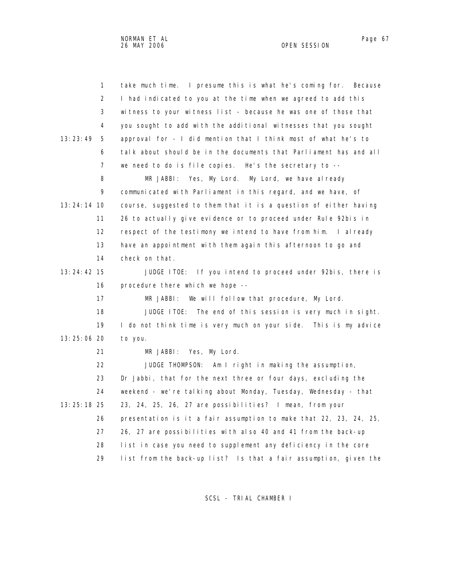| $\mathbf{1}$   | take much time. I presume this is what he's coming for.<br>Because |
|----------------|--------------------------------------------------------------------|
| $\overline{2}$ | I had indicated to you at the time when we agreed to add this      |
| 3              | witness to your witness list - because he was one of those that    |
| 4              | you sought to add with the additional witnesses that you sought    |
| 13:23:49<br>5  | approval for - I did mention that I think most of what he's to     |
| 6              | talk about should be in the documents that Parliament has and all  |
| 7              | we need to do is file copies. He's the secretary to --             |
| 8              | MR JABBI: Yes, My Lord. My Lord, we have already                   |
| 9              | communicated with Parliament in this regard, and we have, of       |
| $13:24:14$ 10  | course, suggested to them that it is a question of either having   |
| 11             | 26 to actually give evidence or to proceed under Rule 92bis in     |
| 12             | respect of the testimony we intend to have from him. I already     |
| 13             | have an appointment with them again this afternoon to go and       |
| 14             | check on that.                                                     |
| 13: 24: 42 15  | JUDGE ITOE: If you intend to proceed under 92bis, there is         |
| 16             | procedure there which we hope --                                   |
| 17             | MR JABBI:<br>We will follow that procedure, My Lord.               |
| 18             | JUDGE ITOE: The end of this session is very much in sight.         |
| 19             | I do not think time is very much on your side. This is my advice   |
| 13:25:06 20    | to you.                                                            |
| 21             | Yes, My Lord.<br>MR JABBI:                                         |
| 22             | JUDGE THOMPSON: Am I right in making the assumption,               |
| 23             | Dr Jabbi, that for the next three or four days, excluding the      |
| 24             | weekend - we're talking about Monday, Tuesday, Wednesday - that    |
| 13:25:18 25    | 23, 24, 25, 26, 27 are possibilities? I mean, from your            |
| 26             | presentation is it a fair assumption to make that 22, 23, 24, 25,  |
| 27             | 26, 27 are possibilities with also 40 and 41 from the back-up      |
| 28             | list in case you need to supplement any deficiency in the core     |
| 29             | list from the back-up list? Is that a fair assumption, given the   |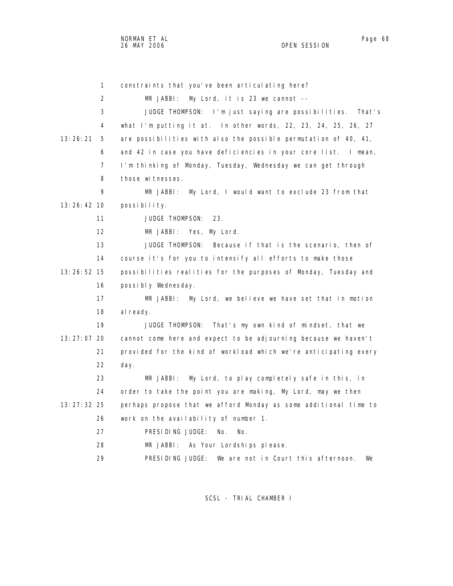1 constraints that you've been articulating here? 2 MR JABBI: My Lord, it is 23 we cannot -- 3 JUDGE THOMPSON: I'm just saying are possibilities. That's 4 what I'm putting it at. In other words, 22, 23, 24, 25, 26, 27 13:26:21 5 are possibilities with also the possible permutation of 40, 41, 6 and 42 in case you have deficiencies in your core list. I mean, 7 I'm thinking of Monday, Tuesday, Wednesday we can get through 8 those witnesses. 9 MR JABBI: My Lord, I would want to exclude 23 from that 13:26:42 10 possibility. 11 JUDGE THOMPSON: 23. 12 MR JABBI: Yes, My Lord. 13 JUDGE THOMPSON: Because if that is the scenario, then of 14 course it's for you to intensify all efforts to make those 13:26:52 15 possibilities realities for the purposes of Monday, Tuesday and 16 possibly Wednesday. 17 MR JABBI: My Lord, we believe we have set that in motion 18 al ready. 19 JUDGE THOMPSON: That's my own kind of mindset, that we 13:27:07 20 cannot come here and expect to be adjourning because we haven't 21 provided for the kind of workload which we're anticipating every 22 day. 23 MR JABBI: My Lord, to play completely safe in this, in 24 order to take the point you are making, My Lord, may we then 13:27:32 25 perhaps propose that we afford Monday as some additional time to 26 work on the availability of number 1. 27 PRESIDING JUDGE: No. No. 28 MR JABBI: As Your Lordships please.

SCSL - TRIAL CHAMBER I

29 PRESIDING JUDGE: We are not in Court this afternoon. We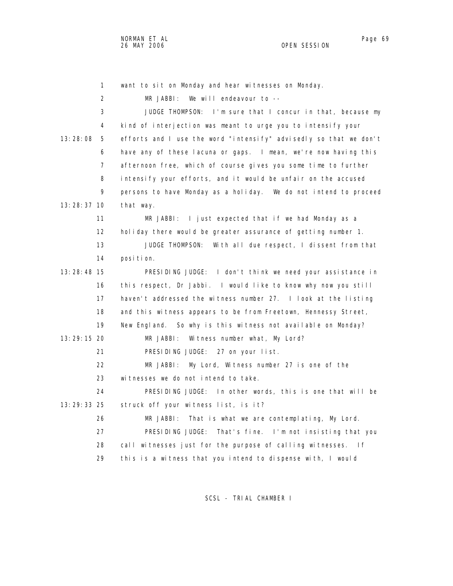| $\mathbf{1}$   | want to sit on Monday and hear witnesses on Monday.               |
|----------------|-------------------------------------------------------------------|
| 2              | We will endeavour to --<br>MR JABBI:                              |
| 3              | JUDGE THOMPSON: I'm sure that I concur in that, because my        |
| 4              | kind of interjection was meant to urge you to intensify your      |
| 13:28:08<br>5  | efforts and I use the word "intensify" advisedly so that we don't |
| 6              | have any of these lacuna or gaps. I mean, we're now having this   |
| $\overline{7}$ | afternoon free, which of course gives you some time to further    |
| 8              | intensify your efforts, and it would be unfair on the accused     |
| 9              | persons to have Monday as a holiday. We do not intend to proceed  |
| 13:28:37 10    | that way.                                                         |
| 11             | $MR$ JABBI: I just expected that if we had Monday as a            |
| 12             | holiday there would be greater assurance of getting number 1.     |
| 13             | JUDGE THOMPSON:<br>With all due respect, I dissent from that      |
| 14             | position.                                                         |
| $13:28:48$ 15  | PRESIDING JUDGE: I don't think we need your assistance in         |
| 16             | this respect, Dr Jabbi. I would like to know why now you still    |
| 17             | haven't addressed the witness number 27. I look at the listing    |
| 18             | and this witness appears to be from Freetown, Hennessy Street,    |
| 19             | New England. So why is this witness not available on Monday?      |
| 13:29:15 20    | Witness number what, My Lord?<br>MR JABBI:                        |
| 21             | PRESIDING JUDGE: 27 on your list.                                 |
| 22             | My Lord, Witness number 27 is one of the<br>MR JABBI:             |
| 23             | witnesses we do not intend to take.                               |
| 24             | PRESIDING JUDGE: In other words, this is one that will be         |
| 13:29:33 25    | struck off your witness list, is it?                              |
| 26             | That is what we are contemplating, My Lord.<br>MR JABBI:          |
| 27             | PRESIDING JUDGE: That's fine. I'm not insisting that you          |
| 28             | call witnesses just for the purpose of calling witnesses.<br>l f  |
| 29             | this is a witness that you intend to dispense with, I would       |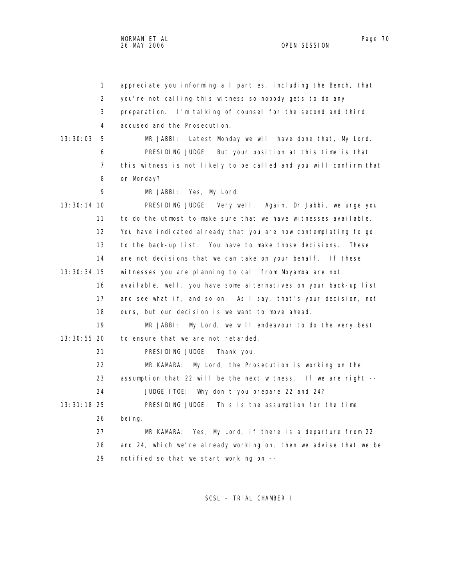1 appreciate you informing all parties, including the Bench, that 2 you're not calling this witness so nobody gets to do any 3 preparation. I'm talking of counsel for the second and third 4 accused and the Prosecution. 13:30:03 5 MR JABBI: Latest Monday we will have done that, My Lord. 6 PRESIDING JUDGE: But your position at this time is that 7 this witness is not likely to be called and you will confirm that 8 on Monday? 9 MR JABBI: Yes, My Lord. 13:30:14 10 PRESIDING JUDGE: Very well. Again, Dr Jabbi, we urge you 11 to do the utmost to make sure that we have witnesses available. 12 You have indicated already that you are now contemplating to go 13 to the back-up list. You have to make those decisions. These 14 are not decisions that we can take on your behalf. If these 13:30:34 15 witnesses you are planning to call from Moyamba are not 16 available, well, you have some alternatives on your back-up list 17 and see what if, and so on. As I say, that's your decision, not 18 ours, but our decision is we want to move ahead. 19 MR JABBI: My Lord, we will endeavour to do the very best 13:30:55 20 to ensure that we are not retarded. 21 PRESIDING JUDGE: Thank you. 22 MR KAMARA: My Lord, the Prosecution is working on the 23 assumption that 22 will be the next witness. If we are right -- 24 JUDGE ITOE: Why don't you prepare 22 and 24? 13:31:18 25 PRESIDING JUDGE: This is the assumption for the time 26 being. 27 MR KAMARA: Yes, My Lord, if there is a departure from 22 28 and 24, which we're already working on, then we advise that we be 29 notified so that we start working on --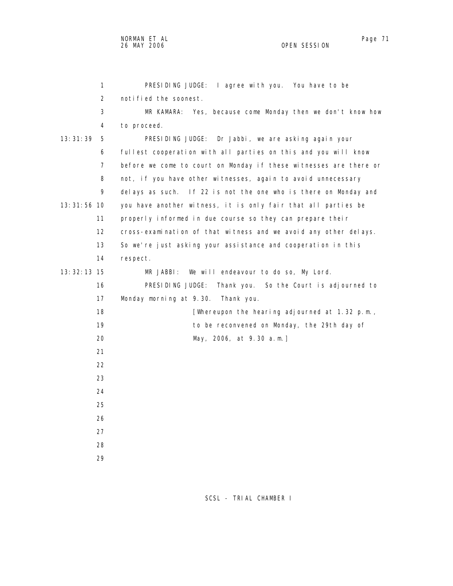| 1               | PRESIDING JUDGE: I agree with you. You have to be                 |  |  |  |  |  |  |  |  |
|-----------------|-------------------------------------------------------------------|--|--|--|--|--|--|--|--|
| 2               | notified the soonest.                                             |  |  |  |  |  |  |  |  |
| 3               | MR KAMARA: Yes, because come Monday then we don't know how        |  |  |  |  |  |  |  |  |
| 4               | to proceed.                                                       |  |  |  |  |  |  |  |  |
| 13: 31: 39<br>5 | PRESIDING JUDGE: Dr Jabbi, we are asking again your               |  |  |  |  |  |  |  |  |
| 6               | fullest cooperation with all parties on this and you will know    |  |  |  |  |  |  |  |  |
| $\overline{7}$  | before we come to court on Monday if these witnesses are there or |  |  |  |  |  |  |  |  |
| 8               | not, if you have other witnesses, again to avoid unnecessary      |  |  |  |  |  |  |  |  |
| 9               | delays as such. If 22 is not the one who is there on Monday and   |  |  |  |  |  |  |  |  |
| 13: 31: 56 10   | you have another witness, it is only fair that all parties be     |  |  |  |  |  |  |  |  |
| 11              | properly informed in due course so they can prepare their         |  |  |  |  |  |  |  |  |
| 12              | cross-examination of that witness and we avoid any other delays.  |  |  |  |  |  |  |  |  |
| 13              | So we're just asking your assistance and cooperation in this      |  |  |  |  |  |  |  |  |
| 14              | respect.                                                          |  |  |  |  |  |  |  |  |
| 13: 32: 13 15   | MR JABBI:<br>We will endeavour to do so, My Lord.                 |  |  |  |  |  |  |  |  |
| 16              | PRESIDING JUDGE:<br>Thank you. So the Court is adjourned to       |  |  |  |  |  |  |  |  |
| 17              | Monday morning at 9.30.<br>Thank you.                             |  |  |  |  |  |  |  |  |
| 18              | [Whereupon the hearing adjourned at 1.32 p.m.,                    |  |  |  |  |  |  |  |  |
| 19              | to be reconvened on Monday, the 29th day of                       |  |  |  |  |  |  |  |  |
| 20              | May, 2006, at 9.30 a.m.]                                          |  |  |  |  |  |  |  |  |
| 21              |                                                                   |  |  |  |  |  |  |  |  |
| 22              |                                                                   |  |  |  |  |  |  |  |  |
| 23              |                                                                   |  |  |  |  |  |  |  |  |
| 24              |                                                                   |  |  |  |  |  |  |  |  |
| 25              |                                                                   |  |  |  |  |  |  |  |  |
| 26              |                                                                   |  |  |  |  |  |  |  |  |
| 27              |                                                                   |  |  |  |  |  |  |  |  |
| 28              |                                                                   |  |  |  |  |  |  |  |  |
| 29              |                                                                   |  |  |  |  |  |  |  |  |